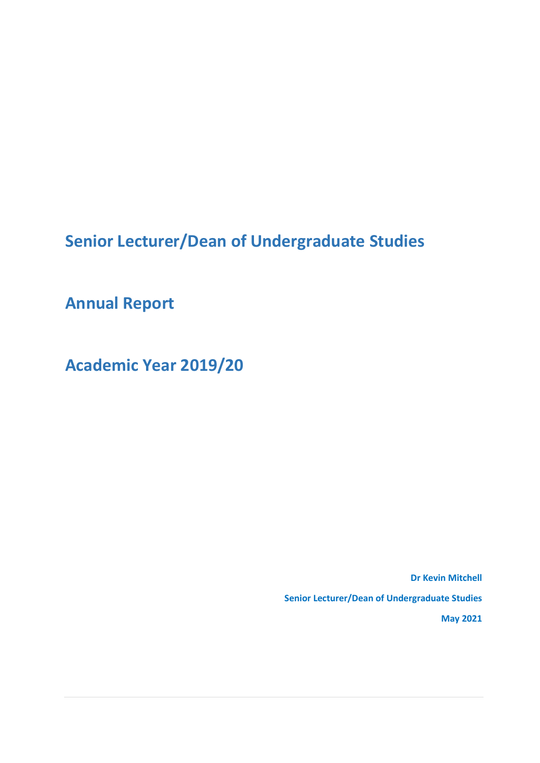**Senior Lecturer/Dean of Undergraduate Studies**

**Annual Report**

**Academic Year 2019/20**

**Dr Kevin Mitchell Senior Lecturer/Dean of Undergraduate Studies May 2021**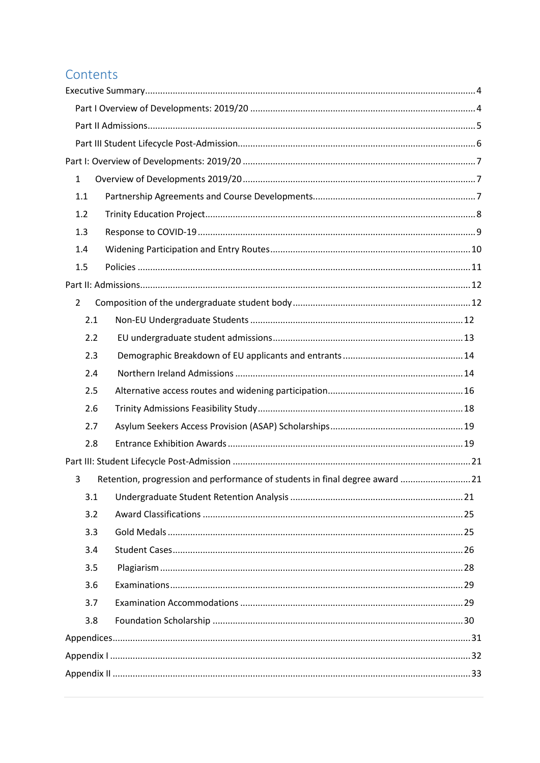## Contents

| $\mathbf{1}$<br>1.1<br>1.2<br>1.3<br>1.4<br>1.5<br>$\overline{2}$<br>2.1<br>2.2<br>2.3<br>2.4<br>2.5<br>2.6<br>2.7<br>2.8 |
|---------------------------------------------------------------------------------------------------------------------------|
|                                                                                                                           |
|                                                                                                                           |
|                                                                                                                           |
|                                                                                                                           |
|                                                                                                                           |
|                                                                                                                           |
|                                                                                                                           |
|                                                                                                                           |
|                                                                                                                           |
|                                                                                                                           |
|                                                                                                                           |
|                                                                                                                           |
|                                                                                                                           |
|                                                                                                                           |
|                                                                                                                           |
|                                                                                                                           |
|                                                                                                                           |
|                                                                                                                           |
|                                                                                                                           |
|                                                                                                                           |
|                                                                                                                           |
| Retention, progression and performance of students in final degree award  21<br>3                                         |
| 3.1                                                                                                                       |
| 3.2                                                                                                                       |
| 3.3                                                                                                                       |
| 3.4                                                                                                                       |
| 3.5                                                                                                                       |
| 3.6                                                                                                                       |
| 3.7                                                                                                                       |
| 3.8                                                                                                                       |
|                                                                                                                           |
|                                                                                                                           |
|                                                                                                                           |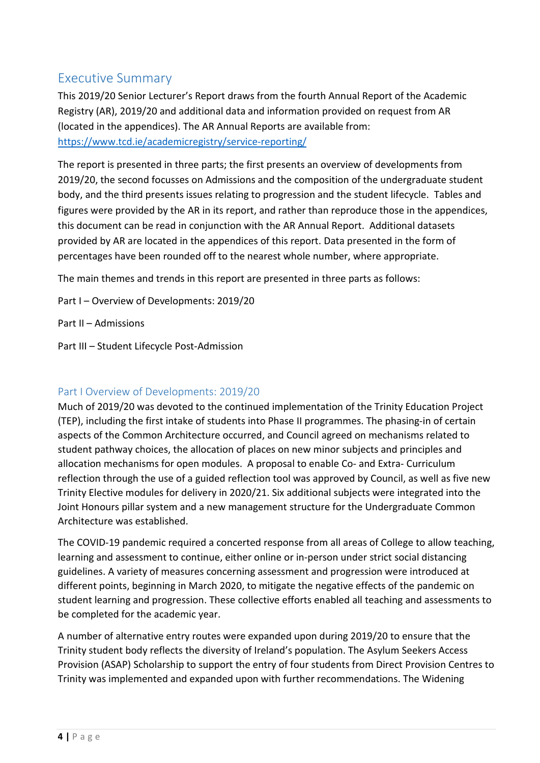## <span id="page-3-0"></span>Executive Summary

This 2019/20 Senior Lecturer's Report draws from the fourth Annual Report of the Academic Registry (AR), 2019/20 and additional data and information provided on request from AR (located in the appendices). The AR Annual Reports are available from: <https://www.tcd.ie/academicregistry/service-reporting/>

The report is presented in three parts; the first presents an overview of developments from 2019/20, the second focusses on Admissions and the composition of the undergraduate student body, and the third presents issues relating to progression and the student lifecycle. Tables and figures were provided by the AR in its report, and rather than reproduce those in the appendices, this document can be read in conjunction with the AR Annual Report. Additional datasets provided by AR are located in the appendices of this report. Data presented in the form of percentages have been rounded off to the nearest whole number, where appropriate.

The main themes and trends in this report are presented in three parts as follows:

Part I – Overview of Developments: 2019/20

Part II – Admissions

Part III – Student Lifecycle Post-Admission

#### <span id="page-3-1"></span>Part I Overview of Developments: 2019/20

Much of 2019/20 was devoted to the continued implementation of the Trinity Education Project (TEP), including the first intake of students into Phase II programmes. The phasing-in of certain aspects of the Common Architecture occurred, and Council agreed on mechanisms related to student pathway choices, the allocation of places on new minor subjects and principles and allocation mechanisms for open modules. A proposal to enable Co- and Extra- Curriculum reflection through the use of a guided reflection tool was approved by Council, as well as five new Trinity Elective modules for delivery in 2020/21. Six additional subjects were integrated into the Joint Honours pillar system and a new management structure for the Undergraduate Common Architecture was established.

The COVID-19 pandemic required a concerted response from all areas of College to allow teaching, learning and assessment to continue, either online or in-person under strict social distancing guidelines. A variety of measures concerning assessment and progression were introduced at different points, beginning in March 2020, to mitigate the negative effects of the pandemic on student learning and progression. These collective efforts enabled all teaching and assessments to be completed for the academic year.

A number of alternative entry routes were expanded upon during 2019/20 to ensure that the Trinity student body reflects the diversity of Ireland's population. The Asylum Seekers Access Provision (ASAP) Scholarship to support the entry of four students from Direct Provision Centres to Trinity was implemented and expanded upon with further recommendations. The Widening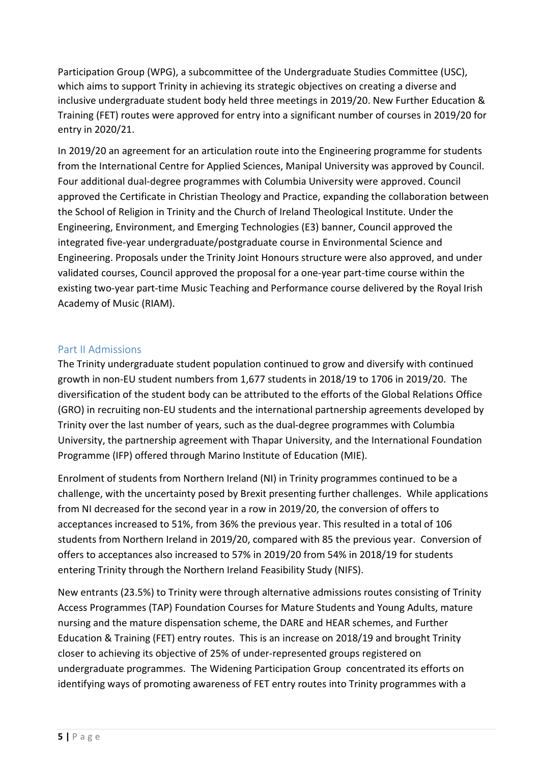Participation Group (WPG), a subcommittee of the Undergraduate Studies Committee (USC), which aims to support Trinity in achieving its strategic objectives on creating a diverse and inclusive undergraduate student body held three meetings in 2019/20. New Further Education & Training (FET) routes were approved for entry into a significant number of courses in 2019/20 for entry in 2020/21.

In 2019/20 an agreement for an articulation route into the Engineering programme for students from the International Centre for Applied Sciences, Manipal University was approved by Council. Four additional dual-degree programmes with Columbia University were approved. Council approved the Certificate in Christian Theology and Practice, expanding the collaboration between the School of Religion in Trinity and the Church of Ireland Theological Institute. Under the Engineering, Environment, and Emerging Technologies (E3) banner, Council approved the integrated five-year undergraduate/postgraduate course in Environmental Science and Engineering. Proposals under the Trinity Joint Honours structure were also approved, and under validated courses, Council approved the proposal for a one-year part-time course within the existing two-year part-time Music Teaching and Performance course delivered by the Royal Irish Academy of Music (RIAM).

#### <span id="page-4-0"></span>Part II Admissions

The Trinity undergraduate student population continued to grow and diversify with continued growth in non-EU student numbers from 1,677 students in 2018/19 to 1706 in 2019/20. The diversification of the student body can be attributed to the efforts of the Global Relations Office (GRO) in recruiting non-EU students and the international partnership agreements developed by Trinity over the last number of years, such as the dual-degree programmes with Columbia University, the partnership agreement with Thapar University, and the International Foundation Programme (IFP) offered through Marino Institute of Education (MIE).

Enrolment of students from Northern Ireland (NI) in Trinity programmes continued to be a challenge, with the uncertainty posed by Brexit presenting further challenges. While applications from NI decreased for the second year in a row in 2019/20, the conversion of offers to acceptances increased to 51%, from 36% the previous year. This resulted in a total of 106 students from Northern Ireland in 2019/20, compared with 85 the previous year. Conversion of offers to acceptances also increased to 57% in 2019/20 from 54% in 2018/19 for students entering Trinity through the Northern Ireland Feasibility Study (NIFS).

New entrants (23.5%) to Trinity were through alternative admissions routes consisting of Trinity Access Programmes (TAP) Foundation Courses for Mature Students and Young Adults, mature nursing and the mature dispensation scheme, the DARE and HEAR schemes, and Further Education & Training (FET) entry routes. This is an increase on 2018/19 and brought Trinity closer to achieving its objective of 25% of under-represented groups registered on undergraduate programmes. The Widening Participation Group concentrated its efforts on identifying ways of promoting awareness of FET entry routes into Trinity programmes with a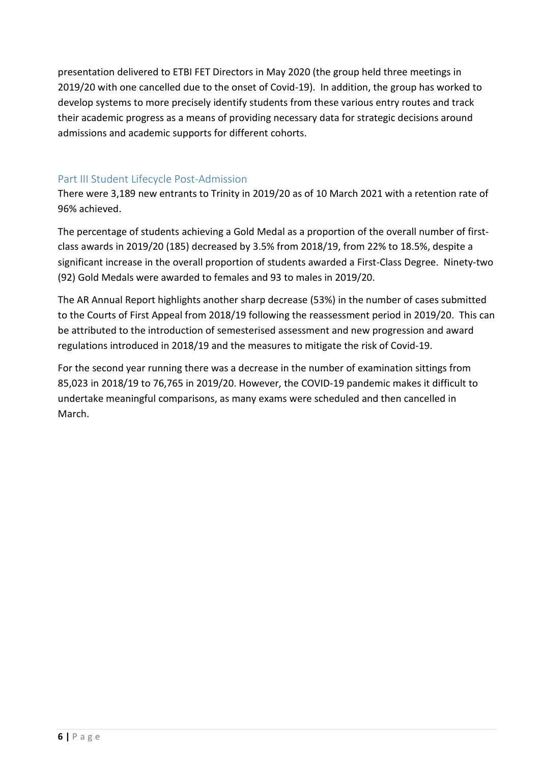presentation delivered to ETBI FET Directors in May 2020 (the group held three meetings in 2019/20 with one cancelled due to the onset of Covid-19). In addition, the group has worked to develop systems to more precisely identify students from these various entry routes and track their academic progress as a means of providing necessary data for strategic decisions around admissions and academic supports for different cohorts.

#### <span id="page-5-0"></span>Part III Student Lifecycle Post-Admission

There were 3,189 new entrants to Trinity in 2019/20 as of 10 March 2021 with a retention rate of 96% achieved.

The percentage of students achieving a Gold Medal as a proportion of the overall number of firstclass awards in 2019/20 (185) decreased by 3.5% from 2018/19, from 22% to 18.5%, despite a significant increase in the overall proportion of students awarded a First-Class Degree. Ninety-two (92) Gold Medals were awarded to females and 93 to males in 2019/20.

The AR Annual Report highlights another sharp decrease (53%) in the number of cases submitted to the Courts of First Appeal from 2018/19 following the reassessment period in 2019/20. This can be attributed to the introduction of semesterised assessment and new progression and award regulations introduced in 2018/19 and the measures to mitigate the risk of Covid-19.

For the second year running there was a decrease in the number of examination sittings from 85,023 in 2018/19 to 76,765 in 2019/20. However, the COVID-19 pandemic makes it difficult to undertake meaningful comparisons, as many exams were scheduled and then cancelled in March.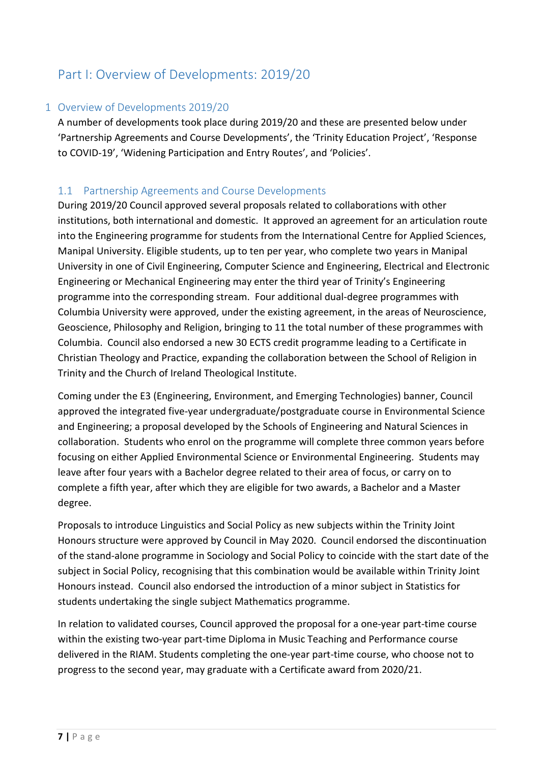## <span id="page-6-0"></span>Part I: Overview of Developments: 2019/20

#### <span id="page-6-1"></span>1 Overview of Developments 2019/20

A number of developments took place during 2019/20 and these are presented below under 'Partnership Agreements and Course Developments', the 'Trinity Education Project', 'Response to COVID-19', 'Widening Participation and Entry Routes', and 'Policies'.

#### <span id="page-6-2"></span>1.1 Partnership Agreements and Course Developments

During 2019/20 Council approved several proposals related to collaborations with other institutions, both international and domestic. It approved an agreement for an articulation route into the Engineering programme for students from the International Centre for Applied Sciences, Manipal University. Eligible students, up to ten per year, who complete two years in Manipal University in one of Civil Engineering, Computer Science and Engineering, Electrical and Electronic Engineering or Mechanical Engineering may enter the third year of Trinity's Engineering programme into the corresponding stream. Four additional dual-degree programmes with Columbia University were approved, under the existing agreement, in the areas of Neuroscience, Geoscience, Philosophy and Religion, bringing to 11 the total number of these programmes with Columbia. Council also endorsed a new 30 ECTS credit programme leading to a Certificate in Christian Theology and Practice, expanding the collaboration between the School of Religion in Trinity and the Church of Ireland Theological Institute.

Coming under the E3 (Engineering, Environment, and Emerging Technologies) banner, Council approved the integrated five-year undergraduate/postgraduate course in Environmental Science and Engineering; a proposal developed by the Schools of Engineering and Natural Sciences in collaboration. Students who enrol on the programme will complete three common years before focusing on either Applied Environmental Science or Environmental Engineering. Students may leave after four years with a Bachelor degree related to their area of focus, or carry on to complete a fifth year, after which they are eligible for two awards, a Bachelor and a Master degree.

Proposals to introduce Linguistics and Social Policy as new subjects within the Trinity Joint Honours structure were approved by Council in May 2020. Council endorsed the discontinuation of the stand-alone programme in Sociology and Social Policy to coincide with the start date of the subject in Social Policy, recognising that this combination would be available within Trinity Joint Honours instead. Council also endorsed the introduction of a minor subject in Statistics for students undertaking the single subject Mathematics programme.

In relation to validated courses, Council approved the proposal for a one-year part-time course within the existing two-year part-time Diploma in Music Teaching and Performance course delivered in the RIAM. Students completing the one-year part-time course, who choose not to progress to the second year, may graduate with a Certificate award from 2020/21.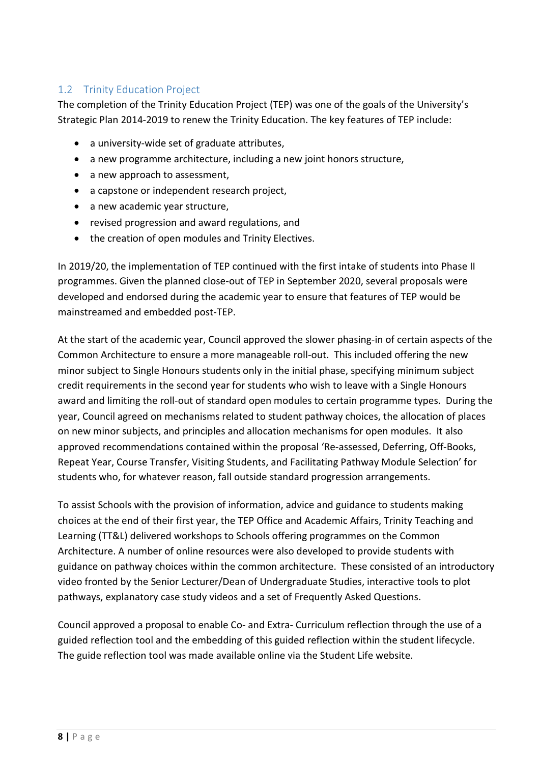## <span id="page-7-0"></span>1.2 Trinity Education Project

The completion of the Trinity Education Project (TEP) was one of the goals of the University's Strategic Plan 2014-2019 to renew the Trinity Education. The key features of TEP include:

- a university-wide set of graduate attributes,
- a new programme architecture, including a new joint honors structure,
- a new approach to assessment,
- a capstone or independent research project,
- a new academic year structure,
- revised progression and award regulations, and
- the creation of open modules and Trinity Electives.

In 2019/20, the implementation of TEP continued with the first intake of students into Phase II programmes. Given the planned close-out of TEP in September 2020, several proposals were developed and endorsed during the academic year to ensure that features of TEP would be mainstreamed and embedded post-TEP.

At the start of the academic year, Council approved the slower phasing-in of certain aspects of the Common Architecture to ensure a more manageable roll-out. This included offering the new minor subject to Single Honours students only in the initial phase, specifying minimum subject credit requirements in the second year for students who wish to leave with a Single Honours award and limiting the roll-out of standard open modules to certain programme types. During the year, Council agreed on mechanisms related to student pathway choices, the allocation of places on new minor subjects, and principles and allocation mechanisms for open modules. It also approved recommendations contained within the proposal 'Re-assessed, Deferring, Off-Books, Repeat Year, Course Transfer, Visiting Students, and Facilitating Pathway Module Selection' for students who, for whatever reason, fall outside standard progression arrangements.

To assist Schools with the provision of information, advice and guidance to students making choices at the end of their first year, the TEP Office and Academic Affairs, Trinity Teaching and Learning (TT&L) delivered workshops to Schools offering programmes on the Common Architecture. A number of online resources were also developed to provide students with guidance on pathway choices within the common architecture. These consisted of an introductory video fronted by the Senior Lecturer/Dean of Undergraduate Studies, interactive tools to plot pathways, explanatory case study videos and a set of Frequently Asked Questions.

Council approved a proposal to enable Co- and Extra- Curriculum reflection through the use of a guided reflection tool and the embedding of this guided reflection within the student lifecycle. The guide reflection tool was made available online via the Student Life website.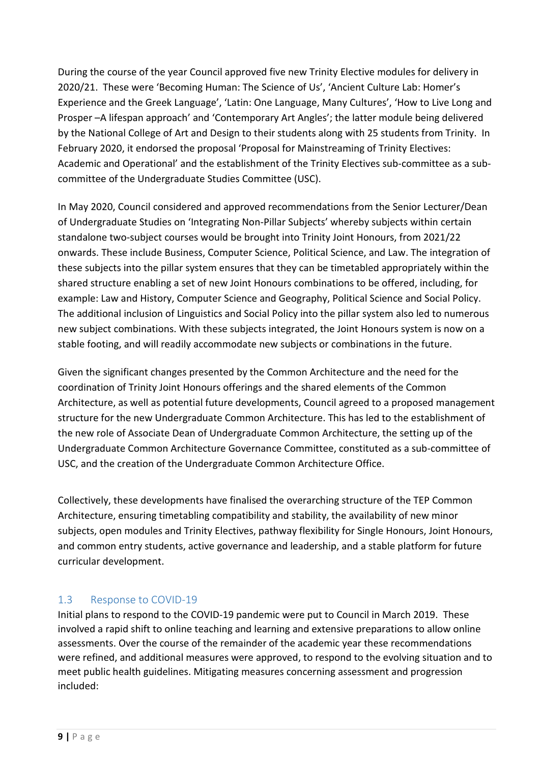During the course of the year Council approved five new Trinity Elective modules for delivery in 2020/21. These were 'Becoming Human: The Science of Us', 'Ancient Culture Lab: Homer's Experience and the Greek Language', 'Latin: One Language, Many Cultures', 'How to Live Long and Prosper –A lifespan approach' and 'Contemporary Art Angles'; the latter module being delivered by the National College of Art and Design to their students along with 25 students from Trinity. In February 2020, it endorsed the proposal 'Proposal for Mainstreaming of Trinity Electives: Academic and Operational' and the establishment of the Trinity Electives sub-committee as a subcommittee of the Undergraduate Studies Committee (USC).

In May 2020, Council considered and approved recommendations from the Senior Lecturer/Dean of Undergraduate Studies on 'Integrating Non-Pillar Subjects' whereby subjects within certain standalone two-subject courses would be brought into Trinity Joint Honours, from 2021/22 onwards. These include Business, Computer Science, Political Science, and Law. The integration of these subjects into the pillar system ensures that they can be timetabled appropriately within the shared structure enabling a set of new Joint Honours combinations to be offered, including, for example: Law and History, Computer Science and Geography, Political Science and Social Policy. The additional inclusion of Linguistics and Social Policy into the pillar system also led to numerous new subject combinations. With these subjects integrated, the Joint Honours system is now on a stable footing, and will readily accommodate new subjects or combinations in the future.

Given the significant changes presented by the Common Architecture and the need for the coordination of Trinity Joint Honours offerings and the shared elements of the Common Architecture, as well as potential future developments, Council agreed to a proposed management structure for the new Undergraduate Common Architecture. This has led to the establishment of the new role of Associate Dean of Undergraduate Common Architecture, the setting up of the Undergraduate Common Architecture Governance Committee, constituted as a sub-committee of USC, and the creation of the Undergraduate Common Architecture Office.

Collectively, these developments have finalised the overarching structure of the TEP Common Architecture, ensuring timetabling compatibility and stability, the availability of new minor subjects, open modules and Trinity Electives, pathway flexibility for Single Honours, Joint Honours, and common entry students, active governance and leadership, and a stable platform for future curricular development.

#### <span id="page-8-0"></span>1.3 Response to COVID-19

Initial plans to respond to the COVID-19 pandemic were put to Council in March 2019. These involved a rapid shift to online teaching and learning and extensive preparations to allow online assessments. Over the course of the remainder of the academic year these recommendations were refined, and additional measures were approved, to respond to the evolving situation and to meet public health guidelines. Mitigating measures concerning assessment and progression included: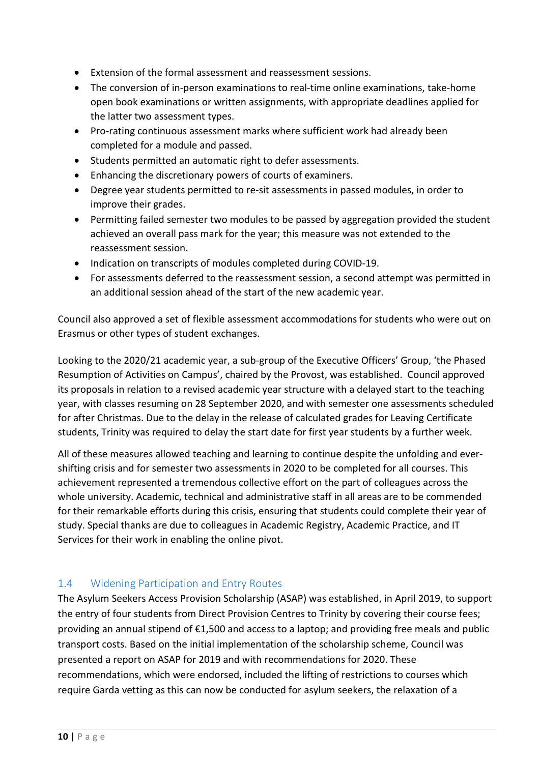- Extension of the formal assessment and reassessment sessions.
- The conversion of in-person examinations to real-time online examinations, take-home open book examinations or written assignments, with appropriate deadlines applied for the latter two assessment types.
- Pro-rating continuous assessment marks where sufficient work had already been completed for a module and passed.
- Students permitted an automatic right to defer assessments.
- Enhancing the discretionary powers of courts of examiners.
- Degree year students permitted to re-sit assessments in passed modules, in order to improve their grades.
- Permitting failed semester two modules to be passed by aggregation provided the student achieved an overall pass mark for the year; this measure was not extended to the reassessment session.
- Indication on transcripts of modules completed during COVID-19.
- For assessments deferred to the reassessment session, a second attempt was permitted in an additional session ahead of the start of the new academic year.

Council also approved a set of flexible assessment accommodations for students who were out on Erasmus or other types of student exchanges.

Looking to the 2020/21 academic year, a sub-group of the Executive Officers' Group, 'the Phased Resumption of Activities on Campus', chaired by the Provost, was established. Council approved its proposals in relation to a revised academic year structure with a delayed start to the teaching year, with classes resuming on 28 September 2020, and with semester one assessments scheduled for after Christmas. Due to the delay in the release of calculated grades for Leaving Certificate students, Trinity was required to delay the start date for first year students by a further week.

All of these measures allowed teaching and learning to continue despite the unfolding and evershifting crisis and for semester two assessments in 2020 to be completed for all courses. This achievement represented a tremendous collective effort on the part of colleagues across the whole university. Academic, technical and administrative staff in all areas are to be commended for their remarkable efforts during this crisis, ensuring that students could complete their year of study. Special thanks are due to colleagues in Academic Registry, Academic Practice, and IT Services for their work in enabling the online pivot.

#### <span id="page-9-0"></span>1.4 Widening Participation and Entry Routes

The Asylum Seekers Access Provision Scholarship (ASAP) was established, in April 2019, to support the entry of four students from Direct Provision Centres to Trinity by covering their course fees; providing an annual stipend of €1,500 and access to a laptop; and providing free meals and public transport costs. Based on the initial implementation of the scholarship scheme, Council was presented a report on ASAP for 2019 and with recommendations for 2020. These recommendations, which were endorsed, included the lifting of restrictions to courses which require Garda vetting as this can now be conducted for asylum seekers, the relaxation of a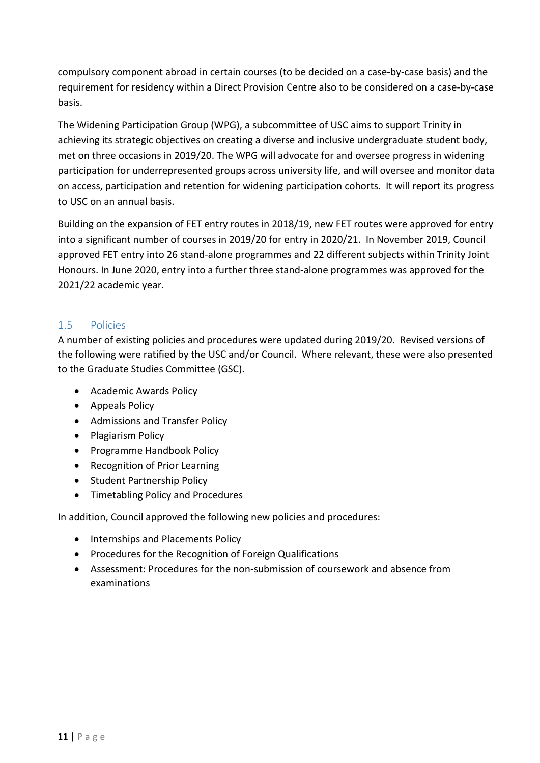compulsory component abroad in certain courses (to be decided on a case-by-case basis) and the requirement for residency within a Direct Provision Centre also to be considered on a case-by-case basis.

The Widening Participation Group (WPG), a subcommittee of USC aims to support Trinity in achieving its strategic objectives on creating a diverse and inclusive undergraduate student body, met on three occasions in 2019/20. The WPG will advocate for and oversee progress in widening participation for underrepresented groups across university life, and will oversee and monitor data on access, participation and retention for widening participation cohorts. It will report its progress to USC on an annual basis.

Building on the expansion of FET entry routes in 2018/19, new FET routes were approved for entry into a significant number of courses in 2019/20 for entry in 2020/21. In November 2019, Council approved FET entry into 26 stand-alone programmes and 22 different subjects within Trinity Joint Honours. In June 2020, entry into a further three stand-alone programmes was approved for the 2021/22 academic year.

### <span id="page-10-0"></span>1.5 Policies

A number of existing policies and procedures were updated during 2019/20. Revised versions of the following were ratified by the USC and/or Council. Where relevant, these were also presented to the Graduate Studies Committee (GSC).

- Academic Awards Policy
- Appeals Policy
- Admissions and Transfer Policy
- Plagiarism Policy
- Programme Handbook Policy
- Recognition of Prior Learning
- Student Partnership Policy
- Timetabling Policy and Procedures

In addition, Council approved the following new policies and procedures:

- Internships and Placements Policy
- Procedures for the Recognition of Foreign Qualifications
- Assessment: Procedures for the non-submission of coursework and absence from examinations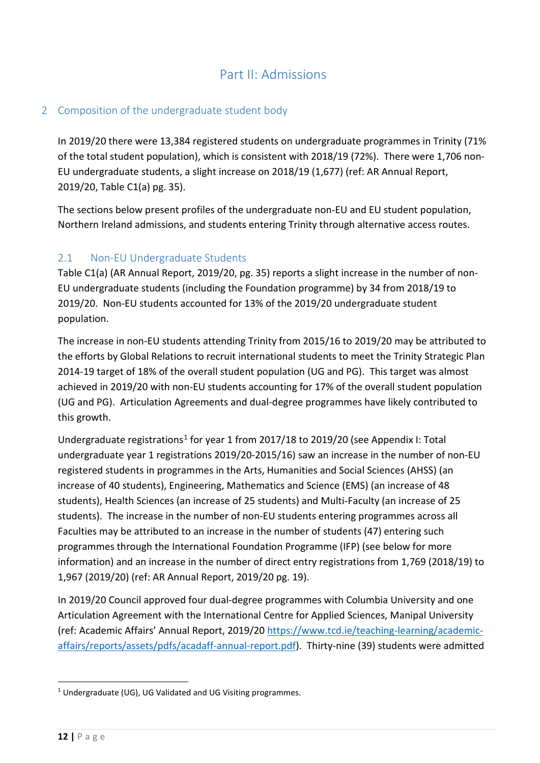## Part II: Admissions

### <span id="page-11-1"></span><span id="page-11-0"></span>2 Composition of the undergraduate student body

In 2019/20 there were 13,384 registered students on undergraduate programmes in Trinity (71% of the total student population), which is consistent with 2018/19 (72%). There were 1,706 non-EU undergraduate students, a slight increase on 2018/19 (1,677) (ref: AR Annual Report, 2019/20, Table C1(a) pg. 35).

The sections below present profiles of the undergraduate non-EU and EU student population, Northern Ireland admissions, and students entering Trinity through alternative access routes.

#### <span id="page-11-2"></span>2.1 Non-EU Undergraduate Students

Table C1(a) (AR Annual Report, 2019/20, pg. 35) reports a slight increase in the number of non-EU undergraduate students (including the Foundation programme) by 34 from 2018/19 to 2019/20. Non-EU students accounted for 13% of the 2019/20 undergraduate student population.

The increase in non-EU students attending Trinity from 2015/16 to 2019/20 may be attributed to the efforts by Global Relations to recruit international students to meet the Trinity Strategic Plan 2014-19 target of 18% of the overall student population (UG and PG). This target was almost achieved in 2019/20 with non-EU students accounting for 17% of the overall student population (UG and PG). Articulation Agreements and dual-degree programmes have likely contributed to this growth.

Undergraduate registrations<sup>[1](#page-11-3)</sup> for year 1 from 2017/18 to 2019/20 (see Appendix I: Total undergraduate year 1 registrations 2019/20-2015/16) saw an increase in the number of non-EU registered students in programmes in the Arts, Humanities and Social Sciences (AHSS) (an increase of 40 students), Engineering, Mathematics and Science (EMS) (an increase of 48 students), Health Sciences (an increase of 25 students) and Multi-Faculty (an increase of 25 students). The increase in the number of non-EU students entering programmes across all Faculties may be attributed to an increase in the number of students (47) entering such programmes through the International Foundation Programme (IFP) (see below for more information) and an increase in the number of direct entry registrations from 1,769 (2018/19) to 1,967 (2019/20) (ref: AR Annual Report, 2019/20 pg. 19).

In 2019/20 Council approved four dual-degree programmes with Columbia University and one Articulation Agreement with the International Centre for Applied Sciences, Manipal University (ref: Academic Affairs' Annual Report, 2019/2[0 https://www.tcd.ie/teaching-learning/academic](https://www.tcd.ie/teaching-learning/academic-affairs/reports/assets/pdfs/acadaff-annual-report.pdf)[affairs/reports/assets/pdfs/acadaff-annual-report.pdf\)](https://www.tcd.ie/teaching-learning/academic-affairs/reports/assets/pdfs/acadaff-annual-report.pdf). Thirty-nine (39) students were admitted

<span id="page-11-3"></span><sup>&</sup>lt;sup>1</sup> Undergraduate (UG), UG Validated and UG Visiting programmes.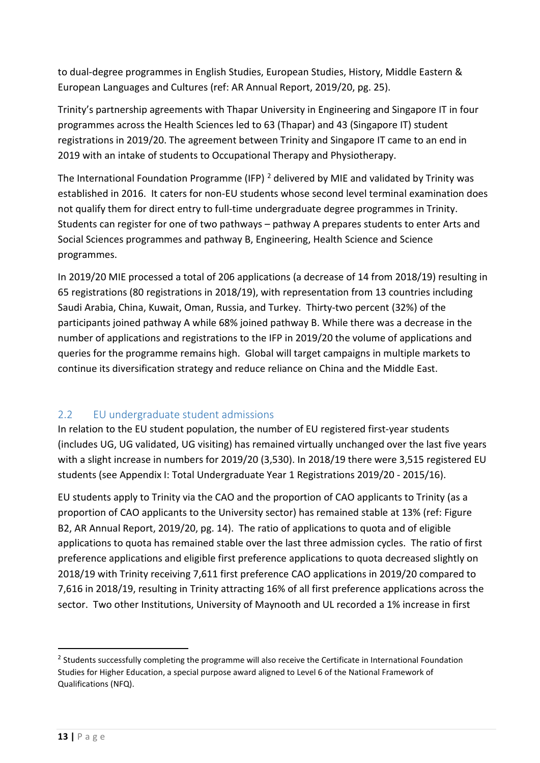to dual-degree programmes in English Studies, European Studies, History, Middle Eastern & European Languages and Cultures (ref: AR Annual Report, 2019/20, pg. 25).

Trinity's partnership agreements with Thapar University in Engineering and Singapore IT in four programmes across the Health Sciences led to 63 (Thapar) and 43 (Singapore IT) student registrations in 2019/20. The agreement between Trinity and Singapore IT came to an end in 2019 with an intake of students to Occupational Therapy and Physiotherapy.

The International Foundation Programme (IFP)  $^2$  $^2$  delivered by MIE and validated by Trinity was established in 2016. It caters for non-EU students whose second level terminal examination does not qualify them for direct entry to full-time undergraduate degree programmes in Trinity. Students can register for one of two pathways – pathway A prepares students to enter Arts and Social Sciences programmes and pathway B, Engineering, Health Science and Science programmes.

In 2019/20 MIE processed a total of 206 applications (a decrease of 14 from 2018/19) resulting in 65 registrations (80 registrations in 2018/19), with representation from 13 countries including Saudi Arabia, China, Kuwait, Oman, Russia, and Turkey. Thirty-two percent (32%) of the participants joined pathway A while 68% joined pathway B. While there was a decrease in the number of applications and registrations to the IFP in 2019/20 the volume of applications and queries for the programme remains high. Global will target campaigns in multiple markets to continue its diversification strategy and reduce reliance on China and the Middle East.

## <span id="page-12-0"></span>2.2 EU undergraduate student admissions

In relation to the EU student population, the number of EU registered first-year students (includes UG, UG validated, UG visiting) has remained virtually unchanged over the last five years with a slight increase in numbers for 2019/20 (3,530). In 2018/19 there were 3,515 registered EU students (see Appendix I: Total Undergraduate Year 1 Registrations 2019/20 - 2015/16).

EU students apply to Trinity via the CAO and the proportion of CAO applicants to Trinity (as a proportion of CAO applicants to the University sector) has remained stable at 13% (ref: Figure B2, AR Annual Report, 2019/20, pg. 14). The ratio of applications to quota and of eligible applications to quota has remained stable over the last three admission cycles. The ratio of first preference applications and eligible first preference applications to quota decreased slightly on 2018/19 with Trinity receiving 7,611 first preference CAO applications in 2019/20 compared to 7,616 in 2018/19, resulting in Trinity attracting 16% of all first preference applications across the sector. Two other Institutions, University of Maynooth and UL recorded a 1% increase in first

<span id="page-12-1"></span><sup>&</sup>lt;sup>2</sup> Students successfully completing the programme will also receive the Certificate in International Foundation Studies for Higher Education, a special purpose award aligned to Level 6 of the National Framework of Qualifications (NFQ).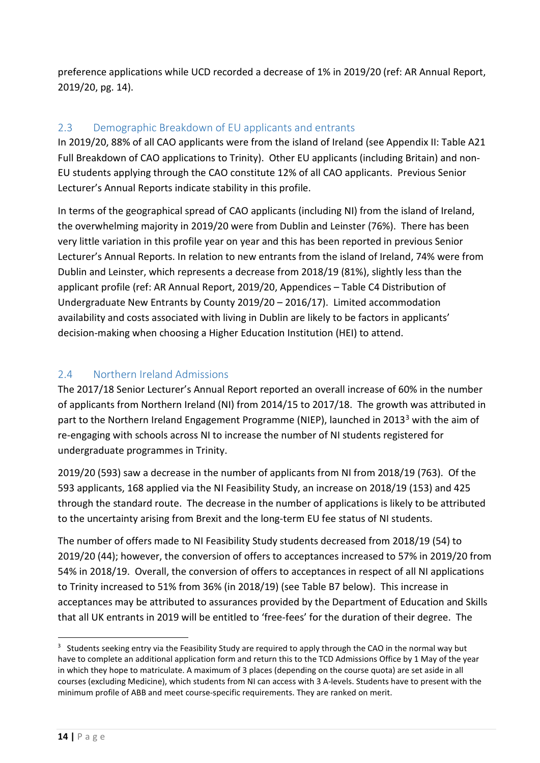preference applications while UCD recorded a decrease of 1% in 2019/20 (ref: AR Annual Report, 2019/20, pg. 14).

### <span id="page-13-0"></span>2.3 Demographic Breakdown of EU applicants and entrants

In 2019/20, 88% of all CAO applicants were from the island of Ireland (see Appendix II: Table A21 Full Breakdown of CAO applications to Trinity). Other EU applicants (including Britain) and non-EU students applying through the CAO constitute 12% of all CAO applicants. Previous Senior Lecturer's Annual Reports indicate stability in this profile.

In terms of the geographical spread of CAO applicants (including NI) from the island of Ireland, the overwhelming majority in 2019/20 were from Dublin and Leinster (76%). There has been very little variation in this profile year on year and this has been reported in previous Senior Lecturer's Annual Reports. In relation to new entrants from the island of Ireland, 74% were from Dublin and Leinster, which represents a decrease from 2018/19 (81%), slightly less than the applicant profile (ref: AR Annual Report, 2019/20, Appendices – Table C4 Distribution of Undergraduate New Entrants by County 2019/20 – 2016/17). Limited accommodation availability and costs associated with living in Dublin are likely to be factors in applicants' decision-making when choosing a Higher Education Institution (HEI) to attend.

### <span id="page-13-1"></span>2.4 Northern Ireland Admissions

The 2017/18 Senior Lecturer's Annual Report reported an overall increase of 60% in the number of applicants from Northern Ireland (NI) from 2014/15 to 2017/18. The growth was attributed in part to the Northern Ireland Engagement Programme (NIEP), launched in 201[3](#page-13-2)<sup>3</sup> with the aim of re-engaging with schools across NI to increase the number of NI students registered for undergraduate programmes in Trinity.

2019/20 (593) saw a decrease in the number of applicants from NI from 2018/19 (763). Of the 593 applicants, 168 applied via the NI Feasibility Study, an increase on 2018/19 (153) and 425 through the standard route. The decrease in the number of applications is likely to be attributed to the uncertainty arising from Brexit and the long-term EU fee status of NI students.

The number of offers made to NI Feasibility Study students decreased from 2018/19 (54) to 2019/20 (44); however, the conversion of offers to acceptances increased to 57% in 2019/20 from 54% in 2018/19. Overall, the conversion of offers to acceptances in respect of all NI applications to Trinity increased to 51% from 36% (in 2018/19) (see Table B7 below). This increase in acceptances may be attributed to assurances provided by the Department of Education and Skills that all UK entrants in 2019 will be entitled to 'free-fees' for the duration of their degree. The

<span id="page-13-2"></span> $3$  Students seeking entry via the Feasibility Study are required to apply through the CAO in the normal way but have to complete an additional application form and return this to the TCD Admissions Office by 1 May of the year in which they hope to matriculate. A maximum of 3 places (depending on the course quota) are set aside in all courses (excluding Medicine), which students from NI can access with 3 A-levels. Students have to present with the minimum profile of ABB and meet course-specific requirements. They are ranked on merit.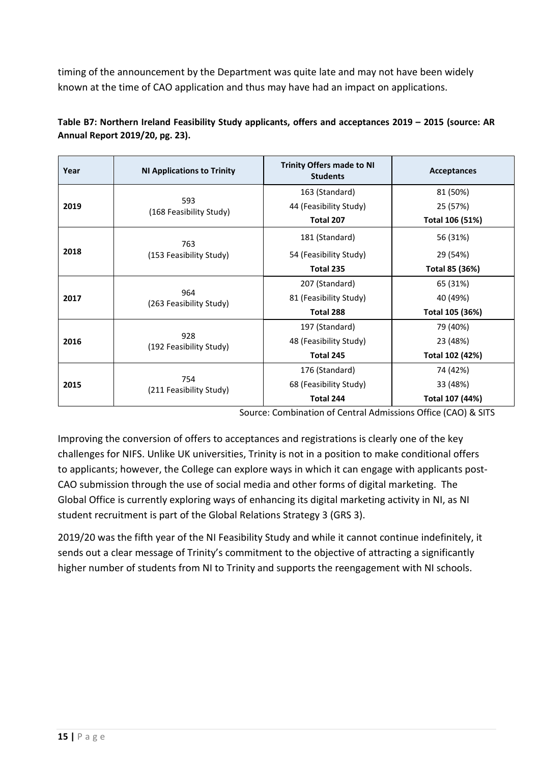timing of the announcement by the Department was quite late and may not have been widely known at the time of CAO application and thus may have had an impact on applications.

| Year | <b>NI Applications to Trinity</b> | <b>Trinity Offers made to NI</b><br><b>Students</b> | <b>Acceptances</b> |  |  |  |
|------|-----------------------------------|-----------------------------------------------------|--------------------|--|--|--|
|      |                                   | 163 (Standard)                                      | 81 (50%)           |  |  |  |
| 2019 | 593<br>(168 Feasibility Study)    | 44 (Feasibility Study)                              | 25 (57%)           |  |  |  |
|      |                                   | Total 207                                           | Total 106 (51%)    |  |  |  |
|      | 763                               | 181 (Standard)                                      | 56 (31%)           |  |  |  |
| 2018 | (153 Feasibility Study)           | 54 (Feasibility Study)                              | 29 (54%)           |  |  |  |
|      |                                   | Total 235                                           | Total 85 (36%)     |  |  |  |
| 2017 |                                   | 207 (Standard)                                      | 65 (31%)           |  |  |  |
|      | 964<br>(263 Feasibility Study)    | 81 (Feasibility Study)                              | 40 (49%)           |  |  |  |
|      |                                   | Total 288                                           | Total 105 (36%)    |  |  |  |
|      |                                   | 197 (Standard)                                      | 79 (40%)           |  |  |  |
| 2016 | 928<br>(192 Feasibility Study)    | 48 (Feasibility Study)                              | 23 (48%)           |  |  |  |
|      |                                   | Total 245                                           | Total 102 (42%)    |  |  |  |
|      |                                   | 176 (Standard)                                      | 74 (42%)           |  |  |  |
| 2015 | 754                               | 68 (Feasibility Study)                              | 33 (48%)           |  |  |  |
|      | (211 Feasibility Study)           | Total 244                                           | Total 107 (44%)    |  |  |  |

**Table B7: Northern Ireland Feasibility Study applicants, offers and acceptances 2019 – 2015 (source: AR Annual Report 2019/20, pg. 23).**

Source: Combination of Central Admissions Office (CAO) & SITS

Improving the conversion of offers to acceptances and registrations is clearly one of the key challenges for NIFS. Unlike UK universities, Trinity is not in a position to make conditional offers to applicants; however, the College can explore ways in which it can engage with applicants post-CAO submission through the use of social media and other forms of digital marketing. The Global Office is currently exploring ways of enhancing its digital marketing activity in NI, as NI student recruitment is part of the Global Relations Strategy 3 (GRS 3).

2019/20 was the fifth year of the NI Feasibility Study and while it cannot continue indefinitely, it sends out a clear message of Trinity's commitment to the objective of attracting a significantly higher number of students from NI to Trinity and supports the reengagement with NI schools.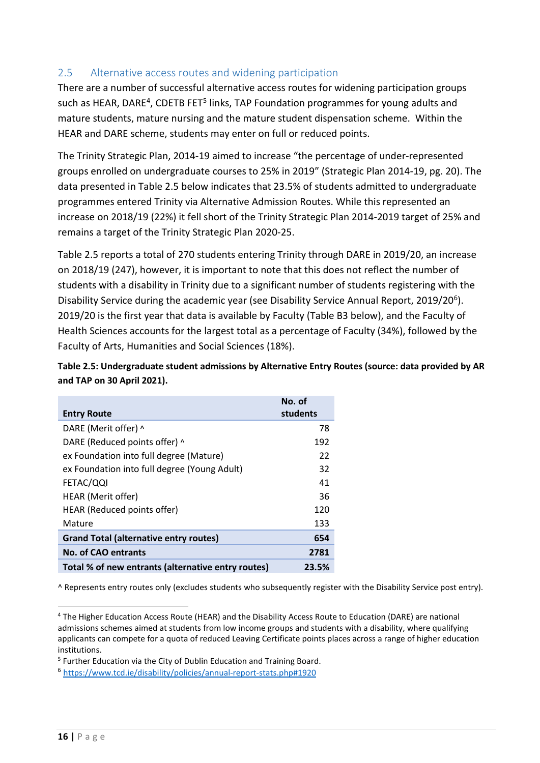#### <span id="page-15-0"></span>2.5 Alternative access routes and widening participation

There are a number of successful alternative access routes for widening participation groups such as HEAR, DARE<sup>4</sup>, CDETB FET<sup>[5](#page-15-2)</sup> links, TAP Foundation programmes for young adults and mature students, mature nursing and the mature student dispensation scheme. Within the HEAR and DARE scheme, students may enter on full or reduced points.

The Trinity Strategic Plan, 2014-19 aimed to increase "the percentage of under-represented groups enrolled on undergraduate courses to 25% in 2019" (Strategic Plan 2014-19, pg. 20). The data presented in Table 2.5 below indicates that 23.5% of students admitted to undergraduate programmes entered Trinity via Alternative Admission Routes. While this represented an increase on 2018/19 (22%) it fell short of the Trinity Strategic Plan 2014-2019 target of 25% and remains a target of the Trinity Strategic Plan 2020-25.

Table 2.5 reports a total of 270 students entering Trinity through DARE in 2019/20, an increase on 2018/19 (247), however, it is important to note that this does not reflect the number of students with a disability in Trinity due to a significant number of students registering with the Disability Service during the academic year (see Disability Service Annual Report, 2019/20<sup>6</sup>). 2019/20 is the first year that data is available by Faculty (Table B3 below), and the Faculty of Health Sciences accounts for the largest total as a percentage of Faculty (34%), followed by the Faculty of Arts, Humanities and Social Sciences (18%).

**Table 2.5: Undergraduate student admissions by Alternative Entry Routes (source: data provided by AR and TAP on 30 April 2021).**

| <b>Entry Route</b>                                 | No. of<br>students |
|----------------------------------------------------|--------------------|
| DARE (Merit offer) ^                               | 78                 |
| DARE (Reduced points offer) ^                      | 192                |
| ex Foundation into full degree (Mature)            | 22                 |
| ex Foundation into full degree (Young Adult)       | 32                 |
| FETAC/QQI                                          | 41                 |
| HEAR (Merit offer)                                 | 36                 |
| HEAR (Reduced points offer)                        | 120                |
| Mature                                             | 133                |
| <b>Grand Total (alternative entry routes)</b>      | 654                |
| <b>No. of CAO entrants</b>                         | 2781               |
| Total % of new entrants (alternative entry routes) | 23.5%              |

^ Represents entry routes only (excludes students who subsequently register with the Disability Service post entry).

<span id="page-15-1"></span><sup>4</sup> The Higher Education Access Route (HEAR) and the Disability Access Route to Education (DARE) are national admissions schemes aimed at students from low income groups and students with a disability, where qualifying applicants can compete for a quota of reduced Leaving Certificate points places across a range of higher education institutions.

<span id="page-15-2"></span><sup>5</sup> Further Education via the City of Dublin Education and Training Board.

<span id="page-15-3"></span><sup>6</sup> <https://www.tcd.ie/disability/policies/annual-report-stats.php#1920>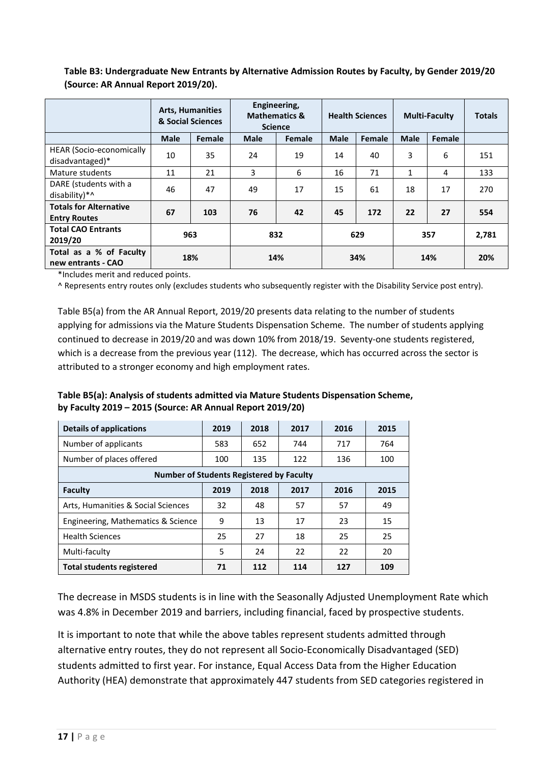|                                                      | <b>Arts, Humanities</b><br>& Social Sciences |        |                              | Engineering,<br><b>Mathematics &amp;</b><br><b>Science</b> |             | <b>Health Sciences</b> | <b>Multi-Faculty</b> | <b>Totals</b> |       |
|------------------------------------------------------|----------------------------------------------|--------|------------------------------|------------------------------------------------------------|-------------|------------------------|----------------------|---------------|-------|
|                                                      | <b>Male</b>                                  | Female | <b>Male</b><br><b>Female</b> |                                                            | <b>Male</b> | Female                 | <b>Male</b>          | Female        |       |
| <b>HEAR (Socio-economically</b><br>disadvantaged)*   | 10                                           | 35     | 24                           | 19                                                         | 14          | 40                     | 3                    | 6             | 151   |
| Mature students                                      | 11                                           | 21     | 3                            | 6                                                          | 16          | 71                     | $\mathbf{1}$         | 4             | 133   |
| DARE (students with a<br>disability)*^               | 46                                           | 47     | 49                           | 17                                                         | 15          | 61                     | 18                   | 17            | 270   |
| <b>Totals for Alternative</b><br><b>Entry Routes</b> | 67                                           | 103    | 76                           | 42                                                         | 45          | 172                    | 22                   | 27            | 554   |
| <b>Total CAO Entrants</b><br>2019/20                 | 963                                          |        | 832                          |                                                            | 629         |                        | 357                  |               | 2,781 |
| Total as a % of Faculty<br>new entrants - CAO        |                                              | 18%    | 14%                          |                                                            | 34%         |                        | 14%                  |               | 20%   |

**Table B3: Undergraduate New Entrants by Alternative Admission Routes by Faculty, by Gender 2019/20 (Source: AR Annual Report 2019/20).**

\*Includes merit and reduced points.

^ Represents entry routes only (excludes students who subsequently register with the Disability Service post entry).

Table B5(a) from the AR Annual Report, 2019/20 presents data relating to the number of students applying for admissions via the Mature Students Dispensation Scheme. The number of students applying continued to decrease in 2019/20 and was down 10% from 2018/19. Seventy-one students registered, which is a decrease from the previous year (112). The decrease, which has occurred across the sector is attributed to a stronger economy and high employment rates.

| Table B5(a): Analysis of students admitted via Mature Students Dispensation Scheme, |
|-------------------------------------------------------------------------------------|
| by Faculty 2019 - 2015 (Source: AR Annual Report 2019/20)                           |

| <b>Details of applications</b>                  | 2019 | 2018 | 2017 | 2016 | 2015 |  |  |  |
|-------------------------------------------------|------|------|------|------|------|--|--|--|
| Number of applicants                            | 583  | 652  | 744  | 717  | 764  |  |  |  |
| Number of places offered                        | 100  | 135  | 122  | 136  | 100  |  |  |  |
| <b>Number of Students Registered by Faculty</b> |      |      |      |      |      |  |  |  |
| Faculty                                         | 2019 | 2018 | 2017 | 2016 | 2015 |  |  |  |
| Arts, Humanities & Social Sciences              | 32   | 48   | 57   | 57   | 49   |  |  |  |
| Engineering, Mathematics & Science              | 9    | 13   | 17   | 23   | 15   |  |  |  |
| <b>Health Sciences</b>                          | 25   | 27   | 18   | 25   | 25   |  |  |  |
| Multi-faculty                                   | 5    | 24   | 22   | 22   | 20   |  |  |  |
| <b>Total students registered</b>                | 71   | 112  | 114  | 127  | 109  |  |  |  |

The decrease in MSDS students is in line with the Seasonally Adjusted Unemployment Rate which was 4.8% in December 2019 and barriers, including financial, faced by prospective students.

It is important to note that while the above tables represent students admitted through alternative entry routes, they do not represent all Socio-Economically Disadvantaged (SED) students admitted to first year. For instance, Equal Access Data from the Higher Education Authority (HEA) demonstrate that approximately 447 students from SED categories registered in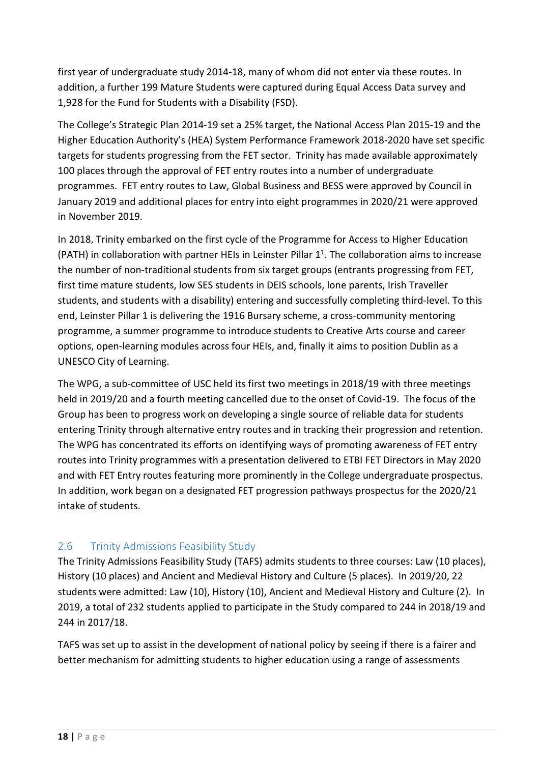first year of undergraduate study 2014-18, many of whom did not enter via these routes. In addition, a further 199 Mature Students were captured during Equal Access Data survey and 1,928 for the Fund for Students with a Disability (FSD).

The College's Strategic Plan 2014-19 set a 25% target, the National Access Plan 2015-19 and the Higher Education Authority's (HEA) System Performance Framework 2018-2020 have set specific targets for students progressing from the FET sector. Trinity has made available approximately 100 places through the approval of FET entry routes into a number of undergraduate programmes. FET entry routes to Law, Global Business and BESS were approved by Council in January 2019 and additional places for entry into eight programmes in 2020/21 were approved in November 2019.

In 2018, Trinity embarked on the first cycle of the Programme for Access to Higher Education (PATH) in collaboration with partner HEIs in Leinster Pillar  $1<sup>1</sup>$ . The collaboration aims to increase the number of non-traditional students from six target groups (entrants progressing from FET, first time mature students, low SES students in DEIS schools, lone parents, Irish Traveller students, and students with a disability) entering and successfully completing third-level. To this end, Leinster Pillar 1 is delivering the 1916 Bursary scheme, a cross-community mentoring programme, a summer programme to introduce students to Creative Arts course and career options, open-learning modules across four HEIs, and, finally it aims to position Dublin as a UNESCO City of Learning.

The WPG, a sub-committee of USC held its first two meetings in 2018/19 with three meetings held in 2019/20 and a fourth meeting cancelled due to the onset of Covid-19. The focus of the Group has been to progress work on developing a single source of reliable data for students entering Trinity through alternative entry routes and in tracking their progression and retention. The WPG has concentrated its efforts on identifying ways of promoting awareness of FET entry routes into Trinity programmes with a presentation delivered to ETBI FET Directors in May 2020 and with FET Entry routes featuring more prominently in the College undergraduate prospectus. In addition, work began on a designated FET progression pathways prospectus for the 2020/21 intake of students.

## <span id="page-17-0"></span>2.6 Trinity Admissions Feasibility Study

The Trinity Admissions Feasibility Study (TAFS) admits students to three courses: Law (10 places), History (10 places) and Ancient and Medieval History and Culture (5 places). In 2019/20, 22 students were admitted: Law (10), History (10), Ancient and Medieval History and Culture (2). In 2019, a total of 232 students applied to participate in the Study compared to 244 in 2018/19 and 244 in 2017/18.

TAFS was set up to assist in the development of national policy by seeing if there is a fairer and better mechanism for admitting students to higher education using a range of assessments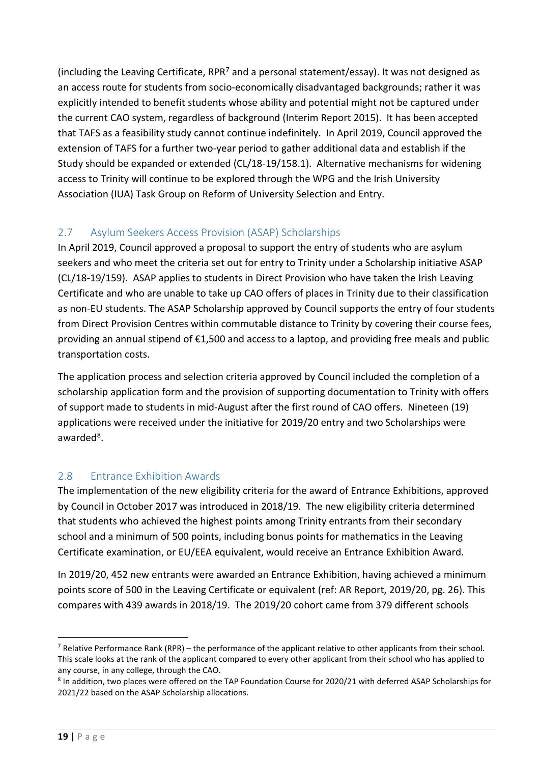(including the Leaving Certificate, RPR<sup>[7](#page-18-2)</sup> and a personal statement/essay). It was not designed as an access route for students from socio-economically disadvantaged backgrounds; rather it was explicitly intended to benefit students whose ability and potential might not be captured under the current CAO system, regardless of background (Interim Report 2015). It has been accepted that TAFS as a feasibility study cannot continue indefinitely. In April 2019, Council approved the extension of TAFS for a further two-year period to gather additional data and establish if the Study should be expanded or extended (CL/18-19/158.1). Alternative mechanisms for widening access to Trinity will continue to be explored through the WPG and the Irish University Association (IUA) Task Group on Reform of University Selection and Entry.

## <span id="page-18-0"></span>2.7 Asylum Seekers Access Provision (ASAP) Scholarships

In April 2019, Council approved a proposal to support the entry of students who are asylum seekers and who meet the criteria set out for entry to Trinity under a Scholarship initiative ASAP (CL/18-19/159). ASAP applies to students in Direct Provision who have taken the Irish Leaving Certificate and who are unable to take up CAO offers of places in Trinity due to their classification as non-EU students. The ASAP Scholarship approved by Council supports the entry of four students from Direct Provision Centres within commutable distance to Trinity by covering their course fees, providing an annual stipend of €1,500 and access to a laptop, and providing free meals and public transportation costs.

The application process and selection criteria approved by Council included the completion of a scholarship application form and the provision of supporting documentation to Trinity with offers of support made to students in mid-August after the first round of CAO offers. Nineteen (19) applications were received under the initiative for 2019/20 entry and two Scholarships were awarded<sup>[8](#page-18-3)</sup>.

## <span id="page-18-1"></span>2.8 Entrance Exhibition Awards

The implementation of the new eligibility criteria for the award of Entrance Exhibitions, approved by Council in October 2017 was introduced in 2018/19. The new eligibility criteria determined that students who achieved the highest points among Trinity entrants from their secondary school and a minimum of 500 points, including bonus points for mathematics in the Leaving Certificate examination, or EU/EEA equivalent, would receive an Entrance Exhibition Award.

In 2019/20, 452 new entrants were awarded an Entrance Exhibition, having achieved a minimum points score of 500 in the Leaving Certificate or equivalent (ref: AR Report, 2019/20, pg. 26). This compares with 439 awards in 2018/19. The 2019/20 cohort came from 379 different schools

<span id="page-18-2"></span><sup>&</sup>lt;sup>7</sup> Relative Performance Rank (RPR) – the performance of the applicant relative to other applicants from their school. This scale looks at the rank of the applicant compared to every other applicant from their school who has applied to any course, in any college, through the CAO.

<span id="page-18-3"></span><sup>8</sup> In addition, two places were offered on the TAP Foundation Course for 2020/21 with deferred ASAP Scholarships for 2021/22 based on the ASAP Scholarship allocations.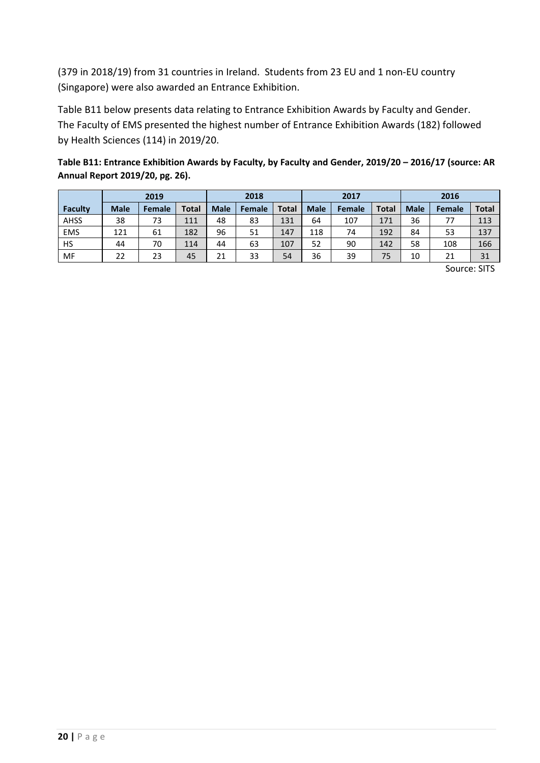(379 in 2018/19) from 31 countries in Ireland. Students from 23 EU and 1 non-EU country (Singapore) were also awarded an Entrance Exhibition.

Table B11 below presents data relating to Entrance Exhibition Awards by Faculty and Gender. The Faculty of EMS presented the highest number of Entrance Exhibition Awards (182) followed by Health Sciences (114) in 2019/20.

| Table B11: Entrance Exhibition Awards by Faculty, by Faculty and Gender, 2019/20 - 2016/17 (source: AR |
|--------------------------------------------------------------------------------------------------------|
| Annual Report 2019/20, pg. 26).                                                                        |

|            |             | 2019          |              |             | 2017<br>2018 |              |             | 2016   |              |             |               |              |
|------------|-------------|---------------|--------------|-------------|--------------|--------------|-------------|--------|--------------|-------------|---------------|--------------|
| Faculty    | <b>Male</b> | <b>Female</b> | <b>Total</b> | <b>Male</b> | Female       | <b>Total</b> | <b>Male</b> | Female | <b>Total</b> | <b>Male</b> | <b>Female</b> | <b>Total</b> |
| AHSS       | 38          | 73            | 111          | 48          | 83           | 131          | 64          | 107    | 171          | 36          | 77            | 113          |
| <b>EMS</b> | 121         | 61            | 182          | 96          | 51           | 147          | 118         | 74     | 192          | 84          | 53            | 137          |
| <b>HS</b>  | 44          | 70            | 114          | 44          | 63           | 107          | 52          | 90     | 142          | 58          | 108           | 166          |
| MF         | 22          | 23            | 45           | 21          | 33           | 54           | 36          | 39     | 75           | 10          | 21            | 31           |

Source: SITS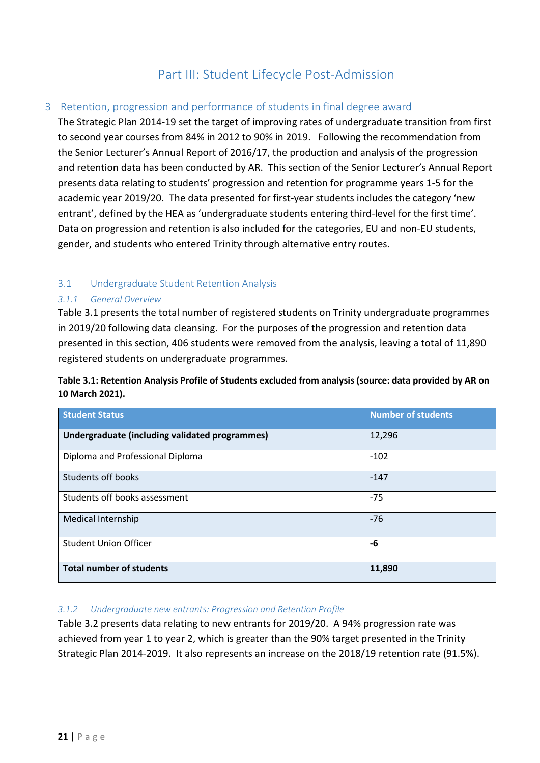# Part III: Student Lifecycle Post-Admission

#### <span id="page-20-1"></span><span id="page-20-0"></span>3 Retention, progression and performance of students in final degree award

The Strategic Plan 2014-19 set the target of improving rates of undergraduate transition from first to second year courses from 84% in 2012 to 90% in 2019. Following the recommendation from the Senior Lecturer's Annual Report of 2016/17, the production and analysis of the progression and retention data has been conducted by AR. This section of the Senior Lecturer's Annual Report presents data relating to students' progression and retention for programme years 1-5 for the academic year 2019/20. The data presented for first-year students includes the category 'new entrant', defined by the HEA as 'undergraduate students entering third-level for the first time'. Data on progression and retention is also included for the categories, EU and non-EU students, gender, and students who entered Trinity through alternative entry routes.

#### <span id="page-20-2"></span>3.1 Undergraduate Student Retention Analysis

#### *3.1.1 General Overview*

Table 3.1 presents the total number of registered students on Trinity undergraduate programmes in 2019/20 following data cleansing. For the purposes of the progression and retention data presented in this section, 406 students were removed from the analysis, leaving a total of 11,890 registered students on undergraduate programmes.

#### **Table 3.1: Retention Analysis Profile of Students excluded from analysis (source: data provided by AR on 10 March 2021).**

| <b>Student Status</b>                          | <b>Number of students</b> |
|------------------------------------------------|---------------------------|
| Undergraduate (including validated programmes) | 12,296                    |
| Diploma and Professional Diploma               | $-102$                    |
| <b>Students off books</b>                      | $-147$                    |
| Students off books assessment                  | $-75$                     |
| Medical Internship                             | $-76$                     |
| <b>Student Union Officer</b>                   | -6                        |
| <b>Total number of students</b>                | 11,890                    |

#### *3.1.2 Undergraduate new entrants: Progression and Retention Profile*

Table 3.2 presents data relating to new entrants for 2019/20. A 94% progression rate was achieved from year 1 to year 2, which is greater than the 90% target presented in the Trinity Strategic Plan 2014-2019. It also represents an increase on the 2018/19 retention rate (91.5%).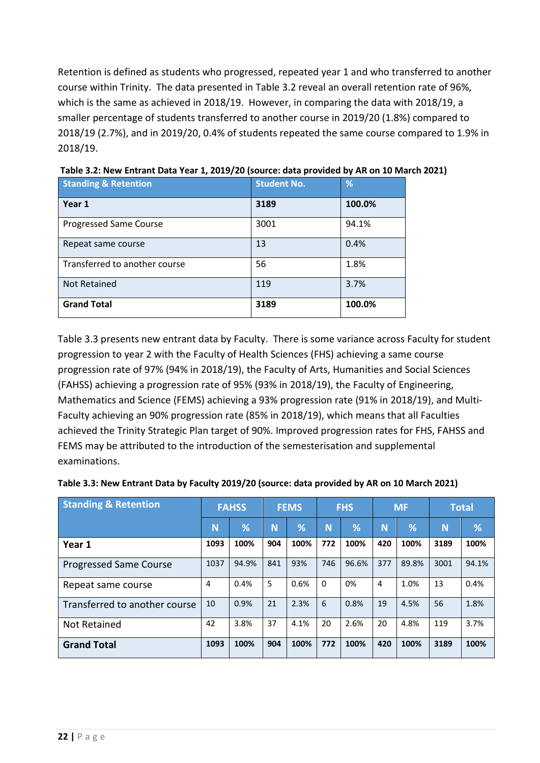Retention is defined as students who progressed, repeated year 1 and who transferred to another course within Trinity. The data presented in Table 3.2 reveal an overall retention rate of 96%, which is the same as achieved in 2018/19. However, in comparing the data with 2018/19, a smaller percentage of students transferred to another course in 2019/20 (1.8%) compared to 2018/19 (2.7%), and in 2019/20, 0.4% of students repeated the same course compared to 1.9% in 2018/19.

| <b>Standing &amp; Retention</b> | <b>Student No.</b> | %      |
|---------------------------------|--------------------|--------|
| Year 1                          | 3189               | 100.0% |
| <b>Progressed Same Course</b>   | 3001               | 94.1%  |
| Repeat same course              | 13                 | 0.4%   |
| Transferred to another course   | 56                 | 1.8%   |
| Not Retained                    | 119                | 3.7%   |
| <b>Grand Total</b>              | 3189               | 100.0% |

**Table 3.2: New Entrant Data Year 1, 2019/20 (source: data provided by AR on 10 March 2021)**

Table 3.3 presents new entrant data by Faculty. There is some variance across Faculty for student progression to year 2 with the Faculty of Health Sciences (FHS) achieving a same course progression rate of 97% (94% in 2018/19), the Faculty of Arts, Humanities and Social Sciences (FAHSS) achieving a progression rate of 95% (93% in 2018/19), the Faculty of Engineering, Mathematics and Science (FEMS) achieving a 93% progression rate (91% in 2018/19), and Multi-Faculty achieving an 90% progression rate (85% in 2018/19), which means that all Faculties achieved the Trinity Strategic Plan target of 90%. Improved progression rates for FHS, FAHSS and FEMS may be attributed to the introduction of the semesterisation and supplemental examinations.

| <b>Standing &amp; Retention</b> | <b>FAHSS</b> |       | <b>FEMS</b> |               | <b>FHS</b> |       | <b>MF</b> |       | <b>Total</b> |       |
|---------------------------------|--------------|-------|-------------|---------------|------------|-------|-----------|-------|--------------|-------|
|                                 | N            | %     | N           | $\frac{9}{6}$ | Ñ          | %     | N         | %     | N            | %     |
| Year 1                          | 1093         | 100%  | 904         | 100%          | 772        | 100%  | 420       | 100%  | 3189         | 100%  |
| <b>Progressed Same Course</b>   | 1037         | 94.9% | 841         | 93%           | 746        | 96.6% | 377       | 89.8% | 3001         | 94.1% |
| Repeat same course              | 4            | 0.4%  | 5           | 0.6%          | 0          | 0%    | 4         | 1.0%  | 13           | 0.4%  |
| Transferred to another course   | 10           | 0.9%  | 21          | 2.3%          | 6          | 0.8%  | 19        | 4.5%  | 56           | 1.8%  |
| Not Retained                    | 42           | 3.8%  | 37          | 4.1%          | 20         | 2.6%  | 20        | 4.8%  | 119          | 3.7%  |
| <b>Grand Total</b>              | 1093         | 100%  | 904         | 100%          | 772        | 100%  | 420       | 100%  | 3189         | 100%  |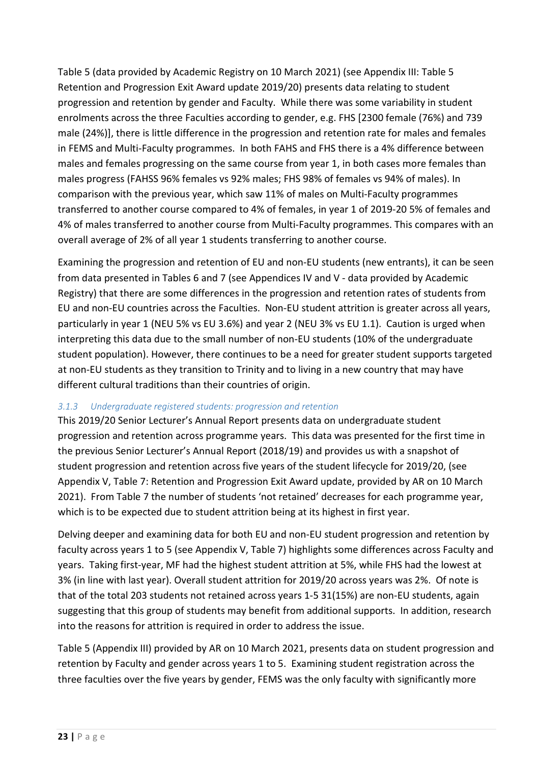Table 5 (data provided by Academic Registry on 10 March 2021) (see Appendix III: Table 5 Retention and Progression Exit Award update 2019/20) presents data relating to student progression and retention by gender and Faculty. While there was some variability in student enrolments across the three Faculties according to gender, e.g. FHS [2300 female (76%) and 739 male (24%)], there is little difference in the progression and retention rate for males and females in FEMS and Multi-Faculty programmes. In both FAHS and FHS there is a 4% difference between males and females progressing on the same course from year 1, in both cases more females than males progress (FAHSS 96% females vs 92% males; FHS 98% of females vs 94% of males). In comparison with the previous year, which saw 11% of males on Multi-Faculty programmes transferred to another course compared to 4% of females, in year 1 of 2019-20 5% of females and 4% of males transferred to another course from Multi-Faculty programmes. This compares with an overall average of 2% of all year 1 students transferring to another course.

Examining the progression and retention of EU and non-EU students (new entrants), it can be seen from data presented in Tables 6 and 7 (see Appendices IV and V - data provided by Academic Registry) that there are some differences in the progression and retention rates of students from EU and non-EU countries across the Faculties. Non-EU student attrition is greater across all years, particularly in year 1 (NEU 5% vs EU 3.6%) and year 2 (NEU 3% vs EU 1.1). Caution is urged when interpreting this data due to the small number of non-EU students (10% of the undergraduate student population). However, there continues to be a need for greater student supports targeted at non-EU students as they transition to Trinity and to living in a new country that may have different cultural traditions than their countries of origin.

#### *3.1.3 Undergraduate registered students: progression and retention*

This 2019/20 Senior Lecturer's Annual Report presents data on undergraduate student progression and retention across programme years. This data was presented for the first time in the previous Senior Lecturer's Annual Report (2018/19) and provides us with a snapshot of student progression and retention across five years of the student lifecycle for 2019/20, (see Appendix V, Table 7: Retention and Progression Exit Award update, provided by AR on 10 March 2021). From Table 7 the number of students 'not retained' decreases for each programme year, which is to be expected due to student attrition being at its highest in first year.

Delving deeper and examining data for both EU and non-EU student progression and retention by faculty across years 1 to 5 (see Appendix V, Table 7) highlights some differences across Faculty and years. Taking first-year, MF had the highest student attrition at 5%, while FHS had the lowest at 3% (in line with last year). Overall student attrition for 2019/20 across years was 2%. Of note is that of the total 203 students not retained across years 1-5 31(15%) are non-EU students, again suggesting that this group of students may benefit from additional supports. In addition, research into the reasons for attrition is required in order to address the issue.

Table 5 (Appendix III) provided by AR on 10 March 2021, presents data on student progression and retention by Faculty and gender across years 1 to 5. Examining student registration across the three faculties over the five years by gender, FEMS was the only faculty with significantly more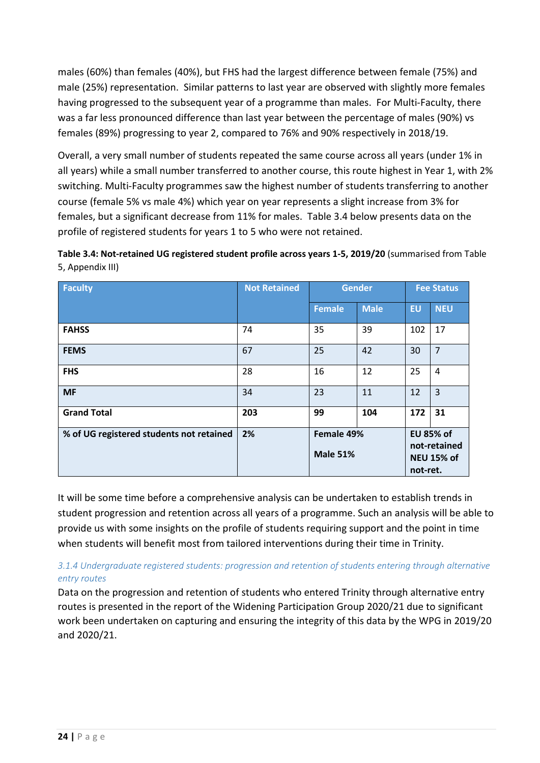males (60%) than females (40%), but FHS had the largest difference between female (75%) and male (25%) representation. Similar patterns to last year are observed with slightly more females having progressed to the subsequent year of a programme than males. For Multi-Faculty, there was a far less pronounced difference than last year between the percentage of males (90%) vs females (89%) progressing to year 2, compared to 76% and 90% respectively in 2018/19.

Overall, a very small number of students repeated the same course across all years (under 1% in all years) while a small number transferred to another course, this route highest in Year 1, with 2% switching. Multi-Faculty programmes saw the highest number of students transferring to another course (female 5% vs male 4%) which year on year represents a slight increase from 3% for females, but a significant decrease from 11% for males. Table 3.4 below presents data on the profile of registered students for years 1 to 5 who were not retained.

| Table 3.4: Not-retained UG registered student profile across years 1-5, 2019/20 (summarised from Table |  |  |
|--------------------------------------------------------------------------------------------------------|--|--|
| 5, Appendix III)                                                                                       |  |  |
|                                                                                                        |  |  |

| <b>Faculty</b>                           | <b>Not Retained</b> | <b>Gender</b>                 |             | <b>Fee Status</b>                                                 |                |  |
|------------------------------------------|---------------------|-------------------------------|-------------|-------------------------------------------------------------------|----------------|--|
|                                          |                     | <b>Female</b>                 | <b>Male</b> | <b>EU</b>                                                         | <b>NEU</b>     |  |
| <b>FAHSS</b>                             | 74                  | 35                            | 39          | 102                                                               | 17             |  |
| <b>FEMS</b>                              | 67                  | 25                            | 42          | 30                                                                | $\overline{7}$ |  |
| <b>FHS</b>                               | 28                  | 16                            | 12          | 25                                                                | 4              |  |
| <b>MF</b>                                | 34                  | 23                            | 11          | 12                                                                | 3              |  |
| <b>Grand Total</b>                       | 203                 | 99                            | 104         | 172                                                               | 31             |  |
| % of UG registered students not retained | 2%                  | Female 49%<br><b>Male 51%</b> |             | <b>EU 85% of</b><br>not-retained<br><b>NEU 15% of</b><br>not-ret. |                |  |

It will be some time before a comprehensive analysis can be undertaken to establish trends in student progression and retention across all years of a programme. Such an analysis will be able to provide us with some insights on the profile of students requiring support and the point in time when students will benefit most from tailored interventions during their time in Trinity.

#### *3.1.4 Undergraduate registered students: progression and retention of students entering through alternative entry routes*

Data on the progression and retention of students who entered Trinity through alternative entry routes is presented in the report of the Widening Participation Group 2020/21 due to significant work been undertaken on capturing and ensuring the integrity of this data by the WPG in 2019/20 and 2020/21.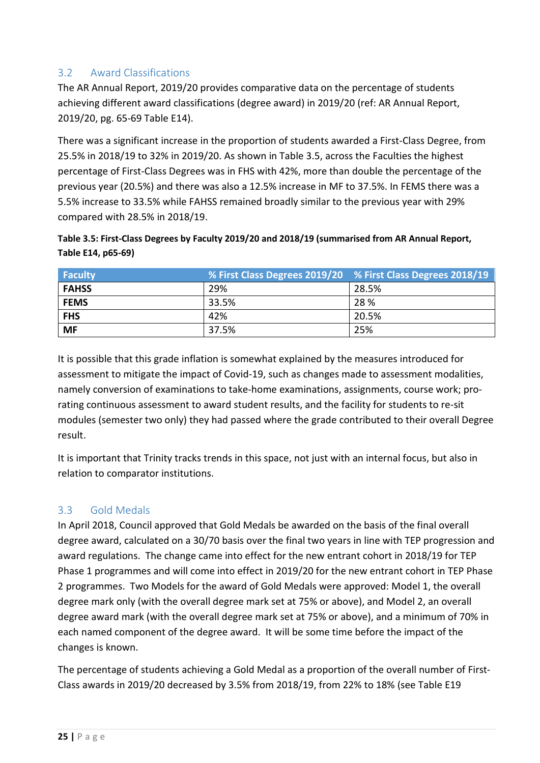## <span id="page-24-0"></span>3.2 Award Classifications

The AR Annual Report, 2019/20 provides comparative data on the percentage of students achieving different award classifications (degree award) in 2019/20 (ref: AR Annual Report, 2019/20, pg. 65-69 Table E14).

There was a significant increase in the proportion of students awarded a First-Class Degree, from 25.5% in 2018/19 to 32% in 2019/20. As shown in Table 3.5, across the Faculties the highest percentage of First-Class Degrees was in FHS with 42%, more than double the percentage of the previous year (20.5%) and there was also a 12.5% increase in MF to 37.5%. In FEMS there was a 5.5% increase to 33.5% while FAHSS remained broadly similar to the previous year with 29% compared with 28.5% in 2018/19.

| Table 3.5: First-Class Degrees by Faculty 2019/20 and 2018/19 (summarised from AR Annual Report, |  |
|--------------------------------------------------------------------------------------------------|--|
| Table E14, p65-69)                                                                               |  |

| <b>Faculty</b> |       | % First Class Degrees 2019/20 % First Class Degrees 2018/19 |
|----------------|-------|-------------------------------------------------------------|
| <b>FAHSS</b>   | 29%   | 28.5%                                                       |
| <b>FEMS</b>    | 33.5% | 28 %                                                        |
| <b>FHS</b>     | 42%   | 20.5%                                                       |
| <b>MF</b>      | 37.5% | 25%                                                         |

It is possible that this grade inflation is somewhat explained by the measures introduced for assessment to mitigate the impact of Covid-19, such as changes made to assessment modalities, namely conversion of examinations to take-home examinations, assignments, course work; prorating continuous assessment to award student results, and the facility for students to re-sit modules (semester two only) they had passed where the grade contributed to their overall Degree result.

It is important that Trinity tracks trends in this space, not just with an internal focus, but also in relation to comparator institutions.

#### <span id="page-24-1"></span>3.3 Gold Medals

In April 2018, Council approved that Gold Medals be awarded on the basis of the final overall degree award, calculated on a 30/70 basis over the final two years in line with TEP progression and award regulations. The change came into effect for the new entrant cohort in 2018/19 for TEP Phase 1 programmes and will come into effect in 2019/20 for the new entrant cohort in TEP Phase 2 programmes. Two Models for the award of Gold Medals were approved: Model 1, the overall degree mark only (with the overall degree mark set at 75% or above), and Model 2, an overall degree award mark (with the overall degree mark set at 75% or above), and a minimum of 70% in each named component of the degree award. It will be some time before the impact of the changes is known.

The percentage of students achieving a Gold Medal as a proportion of the overall number of First-Class awards in 2019/20 decreased by 3.5% from 2018/19, from 22% to 18% (see Table E19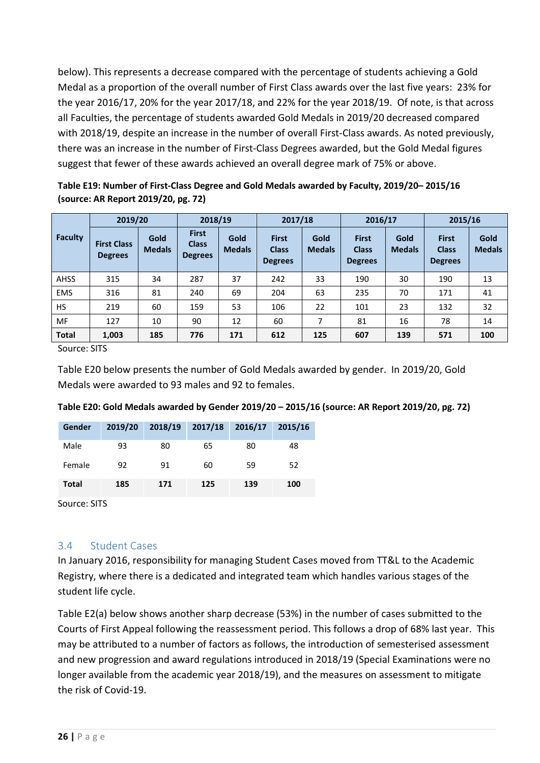below). This represents a decrease compared with the percentage of students achieving a Gold Medal as a proportion of the overall number of First Class awards over the last five years: 23% for the year 2016/17, 20% for the year 2017/18, and 22% for the year 2018/19. Of note, is that across all Faculties, the percentage of students awarded Gold Medals in 2019/20 decreased compared with 2018/19, despite an increase in the number of overall First-Class awards. As noted previously, there was an increase in the number of First-Class Degrees awarded, but the Gold Medal figures suggest that fewer of these awards achieved an overall degree mark of 75% or above.

**Table E19: Number of First-Class Degree and Gold Medals awarded by Faculty, 2019/20– 2015/16 (source: AR Report 2019/20, pg. 72)**

|                | 2019/20                              |                              | 2018/19                                        |                       | 2017/18                                        |                       | 2016/17                                        |                       | 2015/16                                        |                       |
|----------------|--------------------------------------|------------------------------|------------------------------------------------|-----------------------|------------------------------------------------|-----------------------|------------------------------------------------|-----------------------|------------------------------------------------|-----------------------|
| <b>Faculty</b> | <b>First Class</b><br><b>Degrees</b> | <b>Gold</b><br><b>Medals</b> | <b>First</b><br><b>Class</b><br><b>Degrees</b> | Gold<br><b>Medals</b> | <b>First</b><br><b>Class</b><br><b>Degrees</b> | Gold<br><b>Medals</b> | <b>First</b><br><b>Class</b><br><b>Degrees</b> | Gold<br><b>Medals</b> | <b>First</b><br><b>Class</b><br><b>Degrees</b> | Gold<br><b>Medals</b> |
| <b>AHSS</b>    | 315                                  | 34                           | 287                                            | 37                    | 242                                            | 33                    | 190                                            | 30                    | 190                                            | 13                    |
| <b>EMS</b>     | 316                                  | 81                           | 240                                            | 69                    | 204                                            | 63                    | 235                                            | 70                    | 171                                            | 41                    |
| <b>HS</b>      | 219                                  | 60                           | 159                                            | 53                    | 106                                            | 22                    | 101                                            | 23                    | 132                                            | 32                    |
| <b>MF</b>      | 127                                  | 10                           | 90                                             | 12                    | 60                                             | 7                     | 81                                             | 16                    | 78                                             | 14                    |
| <b>Total</b>   | 1,003                                | 185                          | 776                                            | 171                   | 612                                            | 125                   | 607                                            | 139                   | 571                                            | 100                   |

Source: SITS

Table E20 below presents the number of Gold Medals awarded by gender. In 2019/20, Gold Medals were awarded to 93 males and 92 to females.

| Gender | 2019/20<br>÷B. |     | 2018/19 2017/18 2016/17 | ÷   | 2015/16 |
|--------|----------------|-----|-------------------------|-----|---------|
| Male   | 93             | 80  | 65                      | 80  | 48      |
| Female | 92             | 91  | 60                      | 59  | 52      |
| Total  | 185            | 171 | 125                     | 139 | 100     |

**Table E20: Gold Medals awarded by Gender 2019/20 – 2015/16 (source: AR Report 2019/20, pg. 72)**

Source: SITS

#### <span id="page-25-0"></span>3.4 Student Cases

In January 2016, responsibility for managing Student Cases moved from TT&L to the Academic Registry, where there is a dedicated and integrated team which handles various stages of the student life cycle.

Table E2(a) below shows another sharp decrease (53%) in the number of cases submitted to the Courts of First Appeal following the reassessment period. This follows a drop of 68% last year. This may be attributed to a number of factors as follows, the introduction of semesterised assessment and new progression and award regulations introduced in 2018/19 (Special Examinations were no longer available from the academic year 2018/19), and the measures on assessment to mitigate the risk of Covid-19.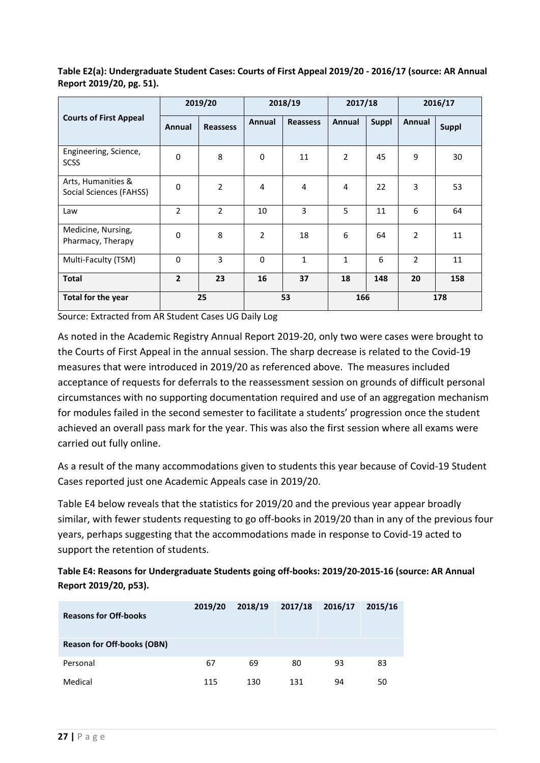|                                               | 2019/20        |                 | 2018/19  |                 | 2017/18      |              | 2016/17        |              |
|-----------------------------------------------|----------------|-----------------|----------|-----------------|--------------|--------------|----------------|--------------|
| <b>Courts of First Appeal</b>                 | Annual         | <b>Reassess</b> | Annual   | <b>Reassess</b> | Annual       | <b>Suppl</b> | Annual         | <b>Suppl</b> |
| Engineering, Science,<br><b>SCSS</b>          | 0              | 8               | 0        | 11              | 2            | 45           | 9              | 30           |
| Arts, Humanities &<br>Social Sciences (FAHSS) | 0              | $\overline{2}$  | 4        | 4               | 4            | 22           | 3              | 53           |
| Law                                           | $\overline{2}$ | $\overline{2}$  | 10       | 3               | 5            | 11           | 6              | 64           |
| Medicine, Nursing,<br>Pharmacy, Therapy       | 0              | 8               | 2        | 18              | 6            | 64           | $\overline{2}$ | 11           |
| Multi-Faculty (TSM)                           | $\mathbf 0$    | 3               | $\Omega$ | $\mathbf{1}$    | $\mathbf{1}$ | 6            | $\mathfrak{p}$ | 11           |
| <b>Total</b>                                  | $\overline{2}$ | 23              | 16       | 37              | 18           | 148          | 20             | 158          |
| Total for the year                            |                | 25              |          | 53              | 166          |              |                | 178          |

**Table E2(a): Undergraduate Student Cases: Courts of First Appeal 2019/20 - 2016/17 (source: AR Annual Report 2019/20, pg. 51).** 

Source: Extracted from AR Student Cases UG Daily Log

As noted in the Academic Registry Annual Report 2019-20, only two were cases were brought to the Courts of First Appeal in the annual session. The sharp decrease is related to the Covid-19 measures that were introduced in 2019/20 as referenced above. The measures included acceptance of requests for deferrals to the reassessment session on grounds of difficult personal circumstances with no supporting documentation required and use of an aggregation mechanism for modules failed in the second semester to facilitate a students' progression once the student achieved an overall pass mark for the year. This was also the first session where all exams were carried out fully online.

As a result of the many accommodations given to students this year because of Covid-19 Student Cases reported just one Academic Appeals case in 2019/20.

Table E4 below reveals that the statistics for 2019/20 and the previous year appear broadly similar, with fewer students requesting to go off-books in 2019/20 than in any of the previous four years, perhaps suggesting that the accommodations made in response to Covid-19 acted to support the retention of students.

#### **Table E4: Reasons for Undergraduate Students going off-books: 2019/20-2015-16 (source: AR Annual Report 2019/20, p53).**

| <b>Reasons for Off-books</b>      | 2019/20 | 2018/19 | 2017/18 | 2016/17 | 2015/16 |  |  |  |  |
|-----------------------------------|---------|---------|---------|---------|---------|--|--|--|--|
| <b>Reason for Off-books (OBN)</b> |         |         |         |         |         |  |  |  |  |
| Personal                          |         | 69      | 80      | 93      | 83      |  |  |  |  |
| Medical                           | 115     | 130     | 131     | 94      |         |  |  |  |  |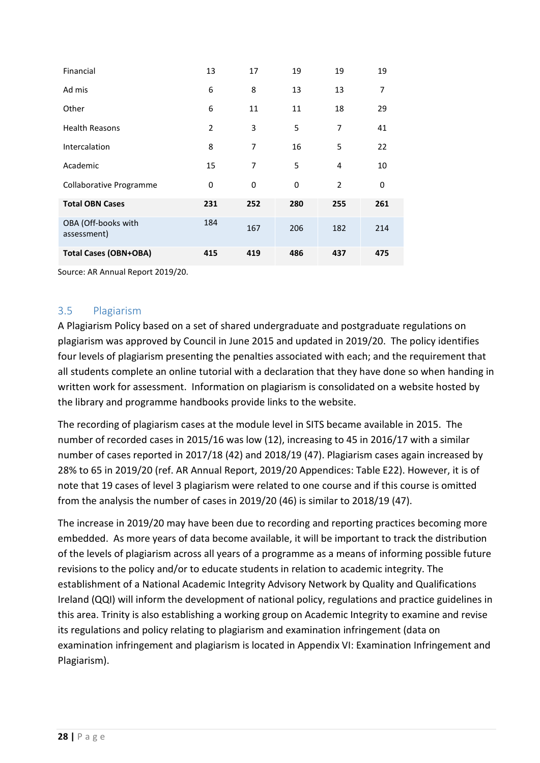| Financial                          | 13  | 17           | 19  | 19  | 19  |
|------------------------------------|-----|--------------|-----|-----|-----|
| Ad mis                             | 6   | 8            | 13  | 13  |     |
| Other                              | 6   | 11           | 11  | 18  | 29  |
| <b>Health Reasons</b>              | 2   | 3            | 5   | 7   | 41  |
| Intercalation                      | 8   |              | 16  | 5   | 22  |
| Academic                           | 15  | $\prime$     | 5   | 4   | 10  |
| Collaborative Programme            | 0   | $\mathbf{U}$ | 0   |     | 0   |
| <b>Total OBN Cases</b>             | 231 | 252          | 280 | 255 | 261 |
| OBA (Off-books with<br>assessment) | 184 | 167          | 206 | 182 | 214 |
| <b>Total Cases (OBN+OBA)</b>       | 415 | 419          | 486 | 437 | 475 |

Source: AR Annual Report 2019/20.

#### <span id="page-27-0"></span>3.5 Plagiarism

A Plagiarism Policy based on a set of shared undergraduate and postgraduate regulations on plagiarism was approved by Council in June 2015 and updated in 2019/20. The policy identifies four levels of plagiarism presenting the penalties associated with each; and the requirement that all students complete an online tutorial with a declaration that they have done so when handing in written work for assessment. Information on plagiarism is consolidated on a website hosted by the library and programme handbooks provide links to the website.

The recording of plagiarism cases at the module level in SITS became available in 2015. The number of recorded cases in 2015/16 was low (12), increasing to 45 in 2016/17 with a similar number of cases reported in 2017/18 (42) and 2018/19 (47). Plagiarism cases again increased by 28% to 65 in 2019/20 (ref. AR Annual Report, 2019/20 Appendices: Table E22). However, it is of note that 19 cases of level 3 plagiarism were related to one course and if this course is omitted from the analysis the number of cases in 2019/20 (46) is similar to 2018/19 (47).

The increase in 2019/20 may have been due to recording and reporting practices becoming more embedded. As more years of data become available, it will be important to track the distribution of the levels of plagiarism across all years of a programme as a means of informing possible future revisions to the policy and/or to educate students in relation to academic integrity. The establishment of a National Academic Integrity Advisory Network by Quality and Qualifications Ireland (QQI) will inform the development of national policy, regulations and practice guidelines in this area. Trinity is also establishing a working group on Academic Integrity to examine and revise its regulations and policy relating to plagiarism and examination infringement (data on examination infringement and plagiarism is located in Appendix VI: Examination Infringement and Plagiarism).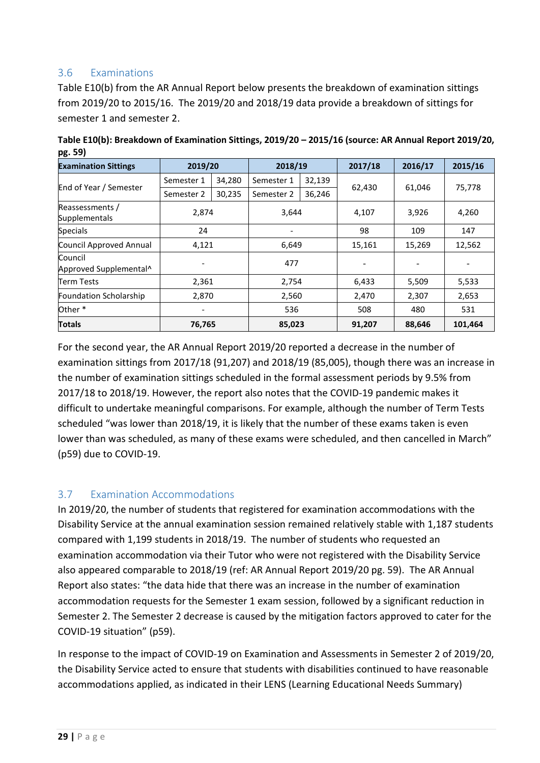### <span id="page-28-0"></span>3.6 Examinations

Table E10(b) from the AR Annual Report below presents the breakdown of examination sittings from 2019/20 to 2015/16. The 2019/20 and 2018/19 data provide a breakdown of sittings for semester 1 and semester 2.

| <b>Examination Sittings</b>       | 2019/20    |        |            | 2018/19 |        | 2016/17 | 2015/16 |
|-----------------------------------|------------|--------|------------|---------|--------|---------|---------|
|                                   | Semester 1 | 34,280 | Semester 1 | 32,139  |        |         |         |
| End of Year / Semester            | Semester 2 | 30,235 | Semester 2 | 36,246  | 62,430 | 61,046  | 75,778  |
| Reassessments /<br>Supplementals  |            | 2,874  |            | 3,644   |        | 3,926   | 4,260   |
| <b>Specials</b>                   | 24         |        |            |         |        | 109     | 147     |
| Council Approved Annual           | 4,121      |        | 6,649      |         | 15,161 | 15,269  | 12,562  |
| Council<br>Approved Supplemental^ |            |        | 477        |         | -      |         |         |
| <b>Term Tests</b>                 | 2,361      |        |            | 2,754   |        | 5,509   | 5,533   |
| Foundation Scholarship            | 2,870      |        | 2,560      |         | 2,470  | 2,307   | 2,653   |
| Other <sup>*</sup>                |            |        |            | 536     |        | 480     | 531     |
| <b>Totals</b>                     | 76,765     |        | 85,023     |         | 91,207 | 88,646  | 101,464 |

**Table E10(b): Breakdown of Examination Sittings, 2019/20 – 2015/16 (source: AR Annual Report 2019/20, pg. 59)**

For the second year, the AR Annual Report 2019/20 reported a decrease in the number of examination sittings from 2017/18 (91,207) and 2018/19 (85,005), though there was an increase in the number of examination sittings scheduled in the formal assessment periods by 9.5% from 2017/18 to 2018/19. However, the report also notes that the COVID-19 pandemic makes it difficult to undertake meaningful comparisons. For example, although the number of Term Tests scheduled "was lower than 2018/19, it is likely that the number of these exams taken is even lower than was scheduled, as many of these exams were scheduled, and then cancelled in March" (p59) due to COVID-19.

## <span id="page-28-1"></span>3.7 Examination Accommodations

In 2019/20, the number of students that registered for examination accommodations with the Disability Service at the annual examination session remained relatively stable with 1,187 students compared with 1,199 students in 2018/19. The number of students who requested an examination accommodation via their Tutor who were not registered with the Disability Service also appeared comparable to 2018/19 (ref: AR Annual Report 2019/20 pg. 59). The AR Annual Report also states: "the data hide that there was an increase in the number of examination accommodation requests for the Semester 1 exam session, followed by a significant reduction in Semester 2. The Semester 2 decrease is caused by the mitigation factors approved to cater for the COVID-19 situation" (p59).

In response to the impact of COVID-19 on Examination and Assessments in Semester 2 of 2019/20, the Disability Service acted to ensure that students with disabilities continued to have reasonable accommodations applied, as indicated in their LENS (Learning Educational Needs Summary)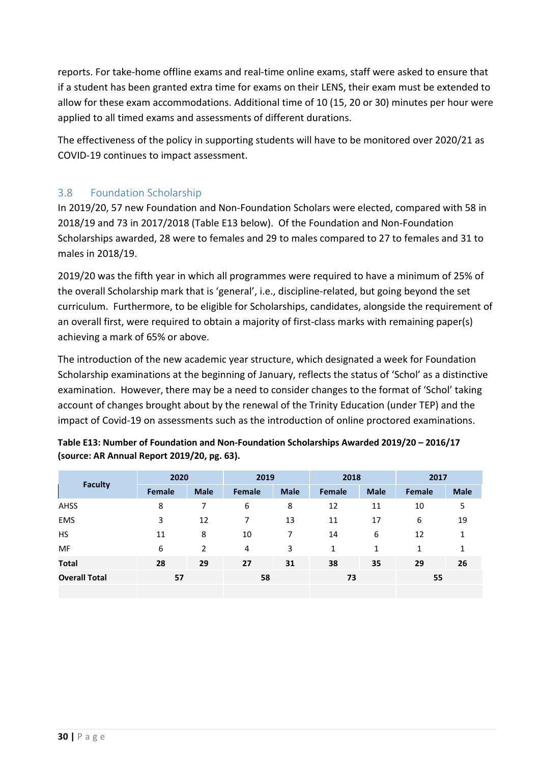reports. For take-home offline exams and real-time online exams, staff were asked to ensure that if a student has been granted extra time for exams on their LENS, their exam must be extended to allow for these exam accommodations. Additional time of 10 (15, 20 or 30) minutes per hour were applied to all timed exams and assessments of different durations.

The effectiveness of the policy in supporting students will have to be monitored over 2020/21 as COVID-19 continues to impact assessment.

## <span id="page-29-0"></span>3.8 Foundation Scholarship

In 2019/20, 57 new Foundation and Non-Foundation Scholars were elected, compared with 58 in 2018/19 and 73 in 2017/2018 (Table E13 below). Of the Foundation and Non-Foundation Scholarships awarded, 28 were to females and 29 to males compared to 27 to females and 31 to males in 2018/19.

2019/20 was the fifth year in which all programmes were required to have a minimum of 25% of the overall Scholarship mark that is 'general', i.e., discipline-related, but going beyond the set curriculum. Furthermore, to be eligible for Scholarships, candidates, alongside the requirement of an overall first, were required to obtain a majority of first-class marks with remaining paper(s) achieving a mark of 65% or above.

The introduction of the new academic year structure, which designated a week for Foundation Scholarship examinations at the beginning of January, reflects the status of 'Schol' as a distinctive examination. However, there may be a need to consider changes to the format of 'Schol' taking account of changes brought about by the renewal of the Trinity Education (under TEP) and the impact of Covid-19 on assessments such as the introduction of online proctored examinations.

| <b>Faculty</b>       | 2020          |      | 2019                   |  | 2018   |             | 2017   |      |  |
|----------------------|---------------|------|------------------------|--|--------|-------------|--------|------|--|
|                      | <b>Female</b> | Male | <b>Female   Male  </b> |  | Female | <b>Male</b> | Female | Male |  |
| AHSS                 |               |      |                        |  |        |             |        |      |  |
| EMS                  |               |      |                        |  |        |             |        | O    |  |
|                      |               |      |                        |  |        |             |        |      |  |
|                      |               |      |                        |  |        |             |        |      |  |
| Total                |               |      |                        |  |        |             |        |      |  |
| <b>Overall Total</b> |               |      |                        |  |        |             |        |      |  |
|                      |               |      |                        |  |        |             |        |      |  |

| Table E13: Number of Foundation and Non-Foundation Scholarships Awarded 2019/20 - 2016/17 |  |
|-------------------------------------------------------------------------------------------|--|
| (source: AR Annual Report 2019/20, pg. 63).                                               |  |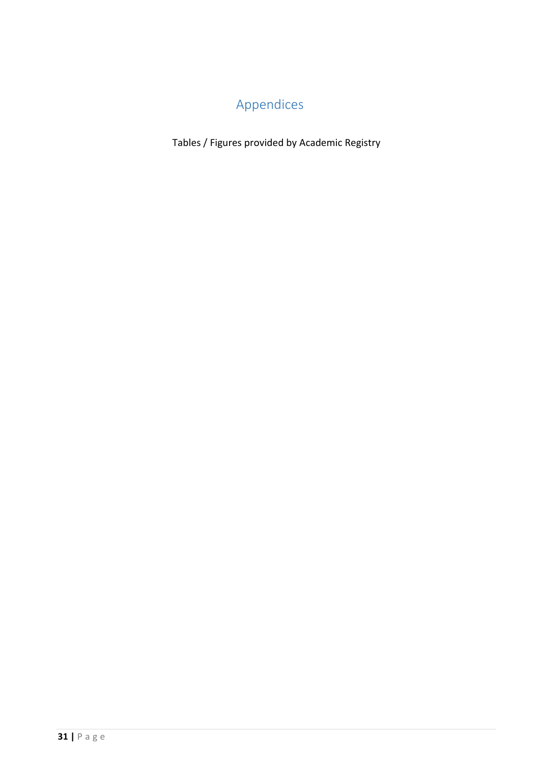# Appendices

<span id="page-30-0"></span>Tables / Figures provided by Academic Registry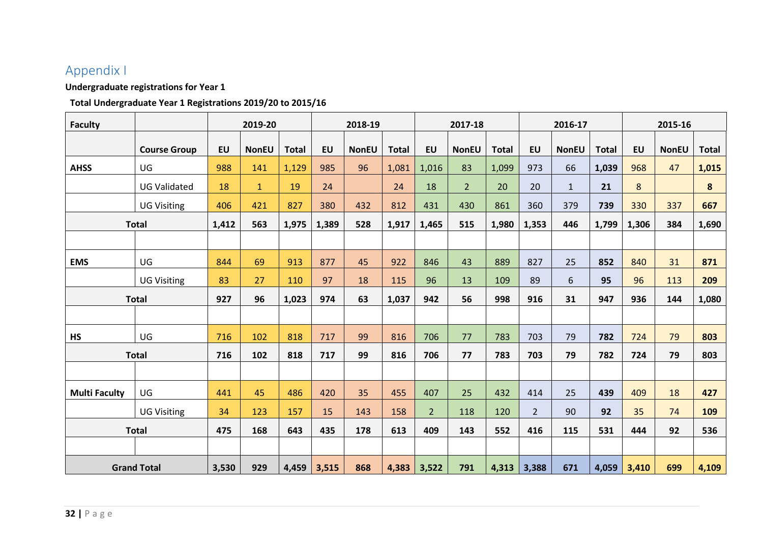# Appendix I

### **Undergraduate registrations for Year 1**

#### **Total Undergraduate Year 1 Registrations 2019/20 to 2015/16**

<span id="page-31-0"></span>

| <b>Faculty</b>       |                     |           | 2019-20      |              |           | 2018-19      |              |                | 2017-18        |              |                | 2016-17      |              | 2015-16   |              |              |  |
|----------------------|---------------------|-----------|--------------|--------------|-----------|--------------|--------------|----------------|----------------|--------------|----------------|--------------|--------------|-----------|--------------|--------------|--|
|                      | <b>Course Group</b> | <b>EU</b> | <b>NonEU</b> | <b>Total</b> | <b>EU</b> | <b>NonEU</b> | <b>Total</b> | <b>EU</b>      | <b>NonEU</b>   | <b>Total</b> | <b>EU</b>      | <b>NonEU</b> | <b>Total</b> | <b>EU</b> | <b>NonEU</b> | <b>Total</b> |  |
| <b>AHSS</b>          | <b>UG</b>           | 988       | 141          | 1,129        | 985       | 96           | 1,081        | 1,016          | 83             | 1,099        | 973            | 66           | 1,039        | 968       | 47           | 1,015        |  |
|                      | <b>UG Validated</b> | 18        | $\mathbf{1}$ | 19           | 24        |              | 24           | 18             | $\overline{2}$ | 20           | 20             | $\mathbf{1}$ | 21           | 8         |              | 8            |  |
|                      | <b>UG Visiting</b>  | 406       | 421          | 827          | 380       | 432          | 812          | 431            | 430            | 861          | 360            | 379          | 739          | 330       | 337          | 667          |  |
|                      | <b>Total</b>        | 1,412     | 563          | 1,975        | 1,389     | 528          | 1,917        | 1,465          | 515            | 1,980        | 1,353          | 446          | 1,799        | 1,306     | 384          | 1,690        |  |
|                      |                     |           |              |              |           |              |              |                |                |              |                |              |              |           |              |              |  |
| <b>EMS</b>           | UG                  | 844       | 69           | 913          | 877       | 45           | 922          | 846            | 43             | 889          | 827            | 25           | 852          | 840       | 31           | 871          |  |
|                      | <b>UG Visiting</b>  | 83        | 27           | 110          | 97        | 18           | 115          | 96             | 13             | 109          | 89             | 6            | 95           | 96        | 113          | 209          |  |
|                      | <b>Total</b>        | 927       | 96           | 1,023        | 974       | 63           | 1,037        | 942            | 56             | 998          | 916            | 31           | 947          | 936       | 144          | 1,080        |  |
|                      |                     |           |              |              |           |              |              |                |                |              |                |              |              |           |              |              |  |
| <b>HS</b>            | UG                  | 716       | 102          | 818          | 717       | 99           | 816          | 706            | 77             | 783          | 703            | 79           | 782          | 724       | 79           | 803          |  |
|                      | <b>Total</b>        | 716       | 102          | 818          | 717       | 99           | 816          | 706            | 77             | 783          | 703            | 79           | 782          | 724       | 79           | 803          |  |
|                      |                     |           |              |              |           |              |              |                |                |              |                |              |              |           |              |              |  |
| <b>Multi Faculty</b> | UG                  | 441       | 45           | 486          | 420       | 35           | 455          | 407            | 25             | 432          | 414            | 25           | 439          | 409       | 18           | 427          |  |
|                      | <b>UG Visiting</b>  | 34        | 123          | 157          | 15        | 143          | 158          | $\overline{2}$ | 118            | 120          | $\overline{2}$ | 90           | 92           | 35        | 74           | 109          |  |
|                      | <b>Total</b>        | 475       | 168          | 643          | 435       | 178          | 613          | 409            | 143            | 552          | 416            | 115          | 531          | 444       | 92           | 536          |  |
|                      |                     |           |              |              |           |              |              |                |                |              |                |              |              |           |              |              |  |
|                      | <b>Grand Total</b>  | 3,530     | 929          | 4,459        | 3,515     | 868          | 4,383        | 3,522          | 791            | 4,313        | 3,388          | 671          | 4,059        | 3,410     | 699          | 4,109        |  |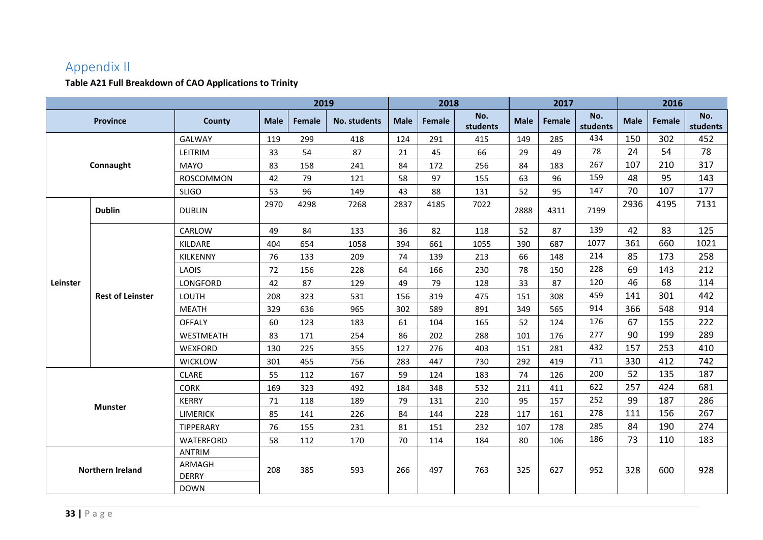# Appendix II

### **Table A21 Full Breakdown of CAO Applications to Trinity**

<span id="page-32-0"></span>

|          |                         |                 |             | 2019   |                     |             | 2018   |                 |             | 2017          |                 | 2016        |        |                 |
|----------|-------------------------|-----------------|-------------|--------|---------------------|-------------|--------|-----------------|-------------|---------------|-----------------|-------------|--------|-----------------|
|          | <b>Province</b>         | County          | <b>Male</b> | Female | <b>No. students</b> | <b>Male</b> | Female | No.<br>students | <b>Male</b> | <b>Female</b> | No.<br>students | <b>Male</b> | Female | No.<br>students |
|          |                         | GALWAY          | 119         | 299    | 418                 | 124         | 291    | 415             | 149         | 285           | 434             | 150         | 302    | 452             |
|          |                         | LEITRIM         | 33          | 54     | 87                  | 21          | 45     | 66              | 29          | 49            | 78              | 24          | 54     | 78              |
|          | Connaught               | <b>MAYO</b>     | 83          | 158    | 241                 | 84          | 172    | 256             | 84          | 183           | 267             | 107         | 210    | 317             |
|          |                         | ROSCOMMON       | 42          | 79     | 121                 | 58          | 97     | 155             | 63          | 96            | 159             | 48          | 95     | 143             |
|          |                         | <b>SLIGO</b>    | 53          | 96     | 149                 | 43          | 88     | 131             | 52          | 95            | 147             | 70          | 107    | 177             |
|          | <b>Dublin</b>           | <b>DUBLIN</b>   | 2970        | 4298   | 7268                | 2837        | 4185   | 7022            | 2888        | 4311          | 7199            | 2936        | 4195   | 7131            |
|          |                         | CARLOW          | 49          | 84     | 133                 | 36          | 82     | 118             | 52          | 87            | 139             | 42          | 83     | 125             |
|          | <b>Rest of Leinster</b> | KILDARE         | 404         | 654    | 1058                | 394         | 661    | 1055            | 390         | 687           | 1077            | 361         | 660    | 1021            |
|          |                         | KILKENNY        | 76          | 133    | 209                 | 74          | 139    | 213             | 66          | 148           | 214             | 85          | 173    | 258             |
| Leinster |                         | LAOIS           | 72          | 156    | 228                 | 64          | 166    | 230             | 78          | 150           | 228             | 69          | 143    | 212             |
|          |                         | LONGFORD        | 42          | 87     | 129                 | 49          | 79     | 128             | 33          | 87            | 120             | 46          | 68     | 114             |
|          |                         | <b>LOUTH</b>    | 208         | 323    | 531                 | 156         | 319    | 475             | 151         | 308           | 459             | 141         | 301    | 442             |
|          |                         | <b>MEATH</b>    | 329         | 636    | 965                 | 302         | 589    | 891             | 349         | 565           | 914             | 366         | 548    | 914             |
|          |                         | <b>OFFALY</b>   | 60          | 123    | 183                 | 61          | 104    | 165             | 52          | 124           | 176             | 67          | 155    | 222             |
|          |                         | WESTMEATH       | 83          | 171    | 254                 | 86          | 202    | 288             | 101         | 176           | 277             | 90          | 199    | 289             |
|          |                         | WEXFORD         | 130         | 225    | 355                 | 127         | 276    | 403             | 151         | 281           | 432             | 157         | 253    | 410             |
|          |                         | <b>WICKLOW</b>  | 301         | 455    | 756                 | 283         | 447    | 730             | 292         | 419           | 711             | 330         | 412    | 742             |
|          |                         | <b>CLARE</b>    | 55          | 112    | 167                 | 59          | 124    | 183             | 74          | 126           | 200             | 52          | 135    | 187             |
|          |                         | <b>CORK</b>     | 169         | 323    | 492                 | 184         | 348    | 532             | 211         | 411           | 622             | 257         | 424    | 681             |
|          | <b>Munster</b>          | <b>KERRY</b>    | 71          | 118    | 189                 | 79          | 131    | 210             | 95          | 157           | 252             | 99          | 187    | 286             |
|          |                         | <b>LIMERICK</b> | 85          | 141    | 226                 | 84          | 144    | 228             | 117         | 161           | 278             | 111         | 156    | 267             |
|          |                         | TIPPERARY       | 76          | 155    | 231                 | 81          | 151    | 232             | 107         | 178           | 285             | 84          | 190    | 274             |
|          |                         | WATERFORD       | 58          | 112    | 170                 | 70          | 114    | 184             | 80          | 106           | 186             | 73          | 110    | 183             |
|          |                         | <b>ANTRIM</b>   |             |        |                     |             |        |                 |             |               |                 |             |        |                 |
|          | Northern Ireland        | ARMAGH          | 208         | 385    | 593                 | 266         | 497    | 763             | 325         | 627           | 952             | 328         | 600    | 928             |
|          |                         | <b>DERRY</b>    |             |        |                     |             |        |                 |             |               |                 |             |        |                 |
|          |                         | <b>DOWN</b>     |             |        |                     |             |        |                 |             |               |                 |             |        |                 |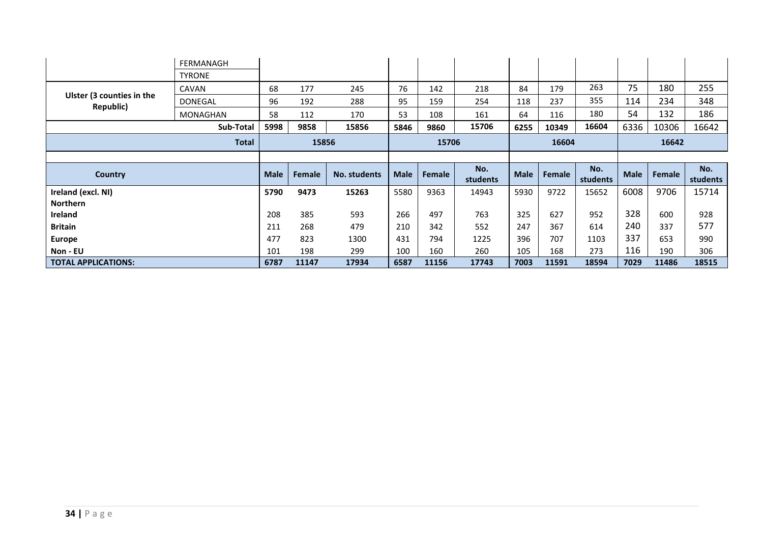|                                        | FERMANAGH       |             |        |              |             |        |                 |             |        |                 |             |        |                 |
|----------------------------------------|-----------------|-------------|--------|--------------|-------------|--------|-----------------|-------------|--------|-----------------|-------------|--------|-----------------|
|                                        | <b>TYRONE</b>   |             |        |              |             |        |                 |             |        |                 |             |        |                 |
|                                        | CAVAN           | 68          | 177    | 245          | 76          | 142    | 218             | 84          | 179    | 263             | 75          | 180    | 255             |
| Ulster (3 counties in the<br>Republic) | DONEGAL         | 96          | 192    | 288          | 95          | 159    | 254             | 118         | 237    | 355             | 114         | 234    | 348             |
|                                        | <b>MONAGHAN</b> | 58          | 112    | 170          | 53          | 108    | 161             | 64          | 116    | 180             | 54          | 132    | 186             |
|                                        | Sub-Total       | 5998        | 9858   | 15856        | 5846        | 9860   | 15706           | 6255        | 10349  | 16604           | 6336        | 10306  | 16642           |
|                                        | <b>Total</b>    |             | 15856  |              |             | 15706  |                 |             | 16604  |                 |             | 16642  |                 |
|                                        |                 |             |        |              |             |        |                 |             |        |                 |             |        |                 |
|                                        |                 |             |        |              |             |        |                 |             |        |                 |             |        |                 |
| <b>Country</b>                         |                 | <b>Male</b> | Female | No. students | <b>Male</b> | Female | No.<br>students | <b>Male</b> | Female | No.<br>students | <b>Male</b> | Female | No.<br>students |
| Ireland (excl. NI)                     |                 | 5790        | 9473   | 15263        | 5580        | 9363   | 14943           | 5930        | 9722   | 15652           | 6008        | 9706   | 15714           |
| Northern                               |                 |             |        |              |             |        |                 |             |        |                 |             |        |                 |
| Ireland                                |                 | 208         | 385    | 593          | 266         | 497    | 763             | 325         | 627    | 952             | 328         | 600    | 928             |
| <b>Britain</b>                         |                 | 211         | 268    | 479          | 210         | 342    | 552             | 247         | 367    | 614             | 240         | 337    | 577             |
| <b>Europe</b>                          |                 | 477         | 823    | 1300         | 431         | 794    | 1225            | 396         | 707    | 1103            | 337         | 653    | 990             |
| Non - EU                               |                 | 101         | 198    | 299          | 100         | 160    | 260             | 105         | 168    | 273             | 116         | 190    | 306             |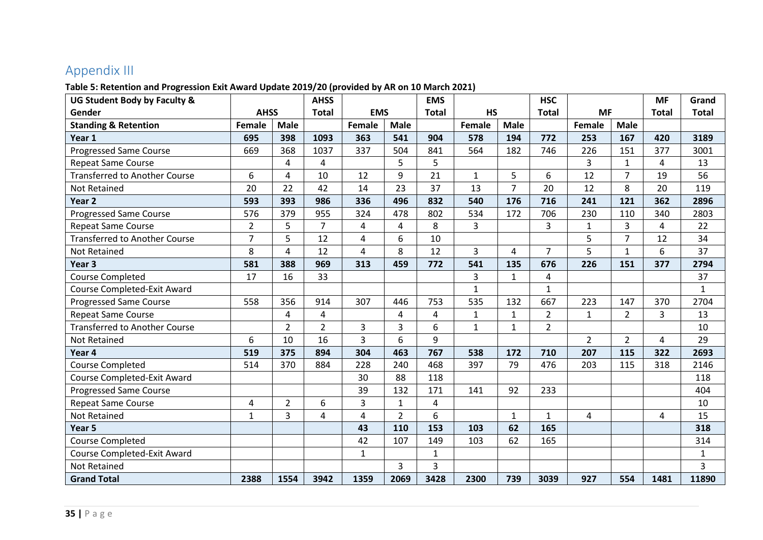# Appendix III

#### **Table 5: Retention and Progression Exit Award Update 2019/20 (provided by AR on 10 March 2021)**

<span id="page-34-0"></span>

| UG Student Body by Faculty &         |                |                | <b>AHSS</b>    |                |                | <b>EMS</b>   |              |                | <b>HSC</b>     |                |                | <b>MF</b>    | Grand        |
|--------------------------------------|----------------|----------------|----------------|----------------|----------------|--------------|--------------|----------------|----------------|----------------|----------------|--------------|--------------|
| Gender                               | <b>AHSS</b>    |                | <b>Total</b>   | <b>EMS</b>     |                | <b>Total</b> | <b>HS</b>    |                | <b>Total</b>   | <b>MF</b>      |                | <b>Total</b> | <b>Total</b> |
| <b>Standing &amp; Retention</b>      | Female         | <b>Male</b>    |                | Female         | <b>Male</b>    |              | Female       | <b>Male</b>    |                | Female         | <b>Male</b>    |              |              |
| Year 1                               | 695            | 398            | 1093           | 363            | 541            | 904          | 578          | 194            | 772            | 253            | 167            | 420          | 3189         |
| <b>Progressed Same Course</b>        | 669            | 368            | 1037           | 337            | 504            | 841          | 564          | 182            | 746            | 226            | 151            | 377          | 3001         |
| <b>Repeat Same Course</b>            |                | 4              | 4              |                | 5              | 5            |              |                |                | 3              | $\mathbf{1}$   | 4            | 13           |
| <b>Transferred to Another Course</b> | 6              | 4              | 10             | 12             | 9              | 21           | $\mathbf{1}$ | 5              | 6              | 12             | $\overline{7}$ | 19           | 56           |
| <b>Not Retained</b>                  | 20             | 22             | 42             | 14             | 23             | 37           | 13           | $\overline{7}$ | 20             | 12             | 8              | 20           | 119          |
| Year <sub>2</sub>                    | 593            | 393            | 986            | 336            | 496            | 832          | 540          | 176            | 716            | 241            | 121            | 362          | 2896         |
| <b>Progressed Same Course</b>        | 576            | 379            | 955            | 324            | 478            | 802          | 534          | 172            | 706            | 230            | 110            | 340          | 2803         |
| <b>Repeat Same Course</b>            | $\overline{2}$ | 5              | $\overline{7}$ | 4              | 4              | 8            | 3            |                | 3              | $\mathbf{1}$   | 3              | 4            | 22           |
| <b>Transferred to Another Course</b> | $\overline{7}$ | 5              | 12             | $\overline{4}$ | 6              | 10           |              |                |                | 5              | $\overline{7}$ | 12           | 34           |
| <b>Not Retained</b>                  | 8              | 4              | 12             | 4              | 8              | 12           | 3            | 4              | $\overline{7}$ | 5              | $\mathbf{1}$   | 6            | 37           |
| Year <sub>3</sub>                    | 581            | 388            | 969            | 313            | 459            | 772          | 541          | 135            | 676            | 226            | 151            | 377          | 2794         |
| <b>Course Completed</b>              | 17             | 16             | 33             |                |                |              | 3            | $\mathbf{1}$   | 4              |                |                |              | 37           |
| <b>Course Completed-Exit Award</b>   |                |                |                |                |                |              | $\mathbf{1}$ |                | $\mathbf{1}$   |                |                |              | $\mathbf{1}$ |
| <b>Progressed Same Course</b>        | 558            | 356            | 914            | 307            | 446            | 753          | 535          | 132            | 667            | 223            | 147            | 370          | 2704         |
| <b>Repeat Same Course</b>            |                | 4              | 4              |                | 4              | 4            | $\mathbf{1}$ | 1              | $\overline{2}$ | $\mathbf{1}$   | $\overline{2}$ | 3            | 13           |
| <b>Transferred to Another Course</b> |                | $\overline{2}$ | $\overline{2}$ | 3              | 3              | 6            | $\mathbf{1}$ | $\mathbf{1}$   | $\overline{2}$ |                |                |              | 10           |
| <b>Not Retained</b>                  | 6              | 10             | 16             | $\overline{3}$ | 6              | 9            |              |                |                | $\overline{2}$ | $\overline{2}$ | 4            | 29           |
| Year 4                               | 519            | 375            | 894            | 304            | 463            | 767          | 538          | 172            | 710            | 207            | 115            | 322          | 2693         |
| Course Completed                     | 514            | 370            | 884            | 228            | 240            | 468          | 397          | 79             | 476            | 203            | 115            | 318          | 2146         |
| Course Completed-Exit Award          |                |                |                | 30             | 88             | 118          |              |                |                |                |                |              | 118          |
| <b>Progressed Same Course</b>        |                |                |                | 39             | 132            | 171          | 141          | 92             | 233            |                |                |              | 404          |
| <b>Repeat Same Course</b>            | 4              | $\overline{2}$ | 6              | 3              | 1              | 4            |              |                |                |                |                |              | 10           |
| <b>Not Retained</b>                  | $\mathbf{1}$   | 3              | 4              | 4              | $\overline{2}$ | 6            |              | $\mathbf{1}$   | $\mathbf{1}$   | 4              |                | 4            | 15           |
| Year <sub>5</sub>                    |                |                |                | 43             | 110            | 153          | 103          | 62             | 165            |                |                |              | 318          |
| <b>Course Completed</b>              |                |                |                | 42             | 107            | 149          | 103          | 62             | 165            |                |                |              | 314          |
| Course Completed-Exit Award          |                |                |                | $\mathbf{1}$   |                | $\mathbf{1}$ |              |                |                |                |                |              | $\mathbf{1}$ |
| <b>Not Retained</b>                  |                |                |                |                | 3              | 3            |              |                |                |                |                |              | 3            |
| <b>Grand Total</b>                   | 2388           | 1554           | 3942           | 1359           | 2069           | 3428         | 2300         | 739            | 3039           | 927            | 554            | 1481         | 11890        |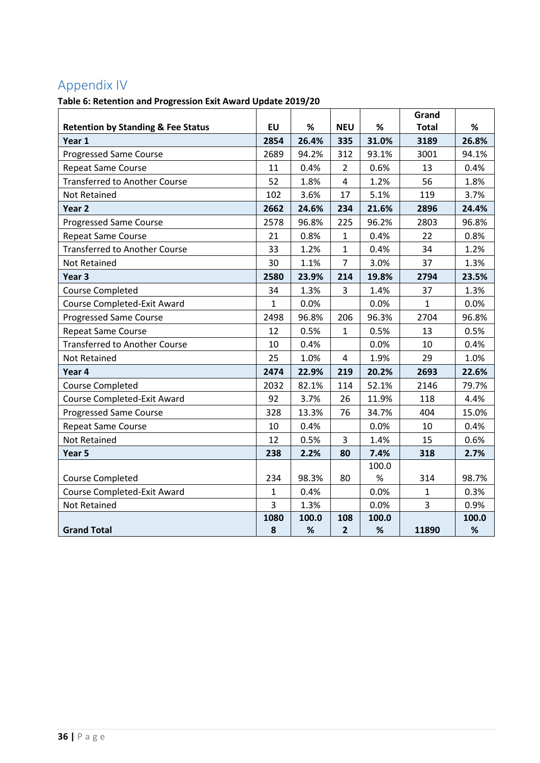# <span id="page-35-0"></span>Appendix IV

## **Table 6: Retention and Progression Exit Award Update 2019/20**

|                                                         | <b>EU</b>    | $\%$  | <b>NEU</b>     | $\%$  | Grand<br><b>Total</b> | $\%$  |
|---------------------------------------------------------|--------------|-------|----------------|-------|-----------------------|-------|
| <b>Retention by Standing &amp; Fee Status</b><br>Year 1 | 2854         | 26.4% | 335            | 31.0% | 3189                  | 26.8% |
| <b>Progressed Same Course</b>                           | 2689         | 94.2% | 312            | 93.1% | 3001                  | 94.1% |
| Repeat Same Course                                      | 11           | 0.4%  | $\overline{2}$ | 0.6%  | 13                    | 0.4%  |
| <b>Transferred to Another Course</b>                    | 52           | 1.8%  | $\overline{4}$ | 1.2%  | 56                    | 1.8%  |
| <b>Not Retained</b>                                     | 102          | 3.6%  | 17             | 5.1%  | 119                   | 3.7%  |
| Year <sub>2</sub>                                       | 2662         | 24.6% | 234            | 21.6% | 2896                  | 24.4% |
|                                                         | 2578         |       |                |       |                       |       |
| <b>Progressed Same Course</b>                           |              | 96.8% | 225            | 96.2% | 2803                  | 96.8% |
| <b>Repeat Same Course</b>                               | 21           | 0.8%  | $\mathbf{1}$   | 0.4%  | 22                    | 0.8%  |
| <b>Transferred to Another Course</b>                    | 33           | 1.2%  | $\mathbf{1}$   | 0.4%  | 34                    | 1.2%  |
| <b>Not Retained</b>                                     | 30           | 1.1%  | $\overline{7}$ | 3.0%  | 37                    | 1.3%  |
| Year <sub>3</sub>                                       | 2580         | 23.9% | 214            | 19.8% | 2794                  | 23.5% |
| <b>Course Completed</b>                                 | 34           | 1.3%  | 3              | 1.4%  | 37                    | 1.3%  |
| Course Completed-Exit Award                             | $\mathbf{1}$ | 0.0%  |                | 0.0%  | $\mathbf{1}$          | 0.0%  |
| <b>Progressed Same Course</b>                           | 2498         | 96.8% | 206            | 96.3% | 2704                  | 96.8% |
| Repeat Same Course                                      | 12           | 0.5%  | $\mathbf{1}$   | 0.5%  | 13                    | 0.5%  |
| <b>Transferred to Another Course</b>                    | 10           | 0.4%  |                | 0.0%  | 10                    | 0.4%  |
| <b>Not Retained</b>                                     | 25           | 1.0%  | 4              | 1.9%  | 29                    | 1.0%  |
| Year 4                                                  | 2474         | 22.9% | 219            | 20.2% | 2693                  | 22.6% |
| <b>Course Completed</b>                                 | 2032         | 82.1% | 114            | 52.1% | 2146                  | 79.7% |
| Course Completed-Exit Award                             | 92           | 3.7%  | 26             | 11.9% | 118                   | 4.4%  |
| <b>Progressed Same Course</b>                           | 328          | 13.3% | 76             | 34.7% | 404                   | 15.0% |
| Repeat Same Course                                      | 10           | 0.4%  |                | 0.0%  | 10                    | 0.4%  |
| Not Retained                                            | 12           | 0.5%  | 3              | 1.4%  | 15                    | 0.6%  |
| Year 5                                                  | 238          | 2.2%  | 80             | 7.4%  | 318                   | 2.7%  |
|                                                         |              |       |                | 100.0 |                       |       |
| <b>Course Completed</b>                                 | 234          | 98.3% | 80             | $\%$  | 314                   | 98.7% |
| Course Completed-Exit Award                             | $\mathbf{1}$ | 0.4%  |                | 0.0%  | $\mathbf{1}$          | 0.3%  |
| <b>Not Retained</b>                                     | 3            | 1.3%  |                | 0.0%  | 3                     | 0.9%  |
|                                                         | 1080         | 100.0 | 108            | 100.0 |                       | 100.0 |
| <b>Grand Total</b>                                      | 8            | $\%$  | $\overline{2}$ | $\%$  | 11890                 | $\%$  |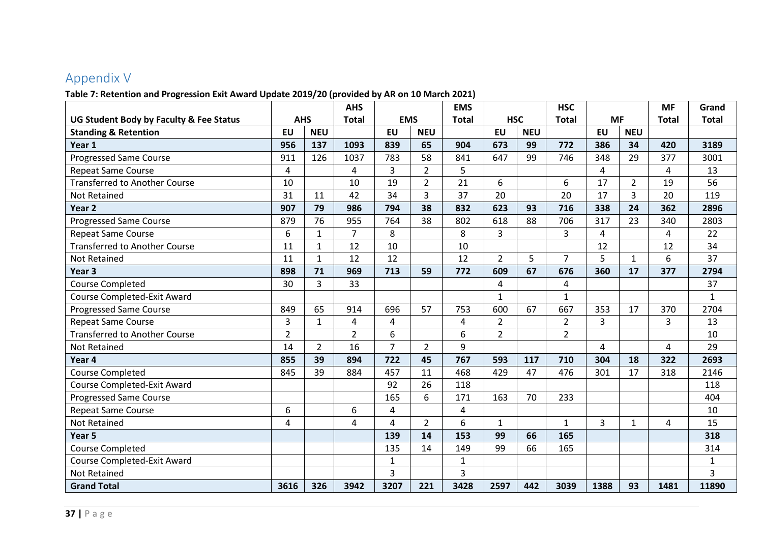# Appendix V

#### **Table 7: Retention and Progression Exit Award Update 2019/20 (provided by AR on 10 March 2021)**

<span id="page-36-0"></span>

|                                         |                |                | <b>AHS</b>              |                         |                | <b>EMS</b>   |                |            | <b>HSC</b>     |           |                | <b>MF</b>    | Grand        |
|-----------------------------------------|----------------|----------------|-------------------------|-------------------------|----------------|--------------|----------------|------------|----------------|-----------|----------------|--------------|--------------|
| UG Student Body by Faculty & Fee Status | <b>AHS</b>     |                | <b>Total</b>            | <b>EMS</b>              |                | <b>Total</b> | <b>HSC</b>     |            | <b>Total</b>   | <b>MF</b> |                | <b>Total</b> | <b>Total</b> |
| <b>Standing &amp; Retention</b>         | <b>EU</b>      | <b>NEU</b>     |                         | <b>EU</b>               | <b>NEU</b>     |              | <b>EU</b>      | <b>NEU</b> |                | <b>EU</b> | <b>NEU</b>     |              |              |
| Year 1                                  | 956            | 137            | 1093                    | 839                     | 65             | 904          | 673            | 99         | 772            | 386       | 34             | 420          | 3189         |
| <b>Progressed Same Course</b>           | 911            | 126            | 1037                    | 783                     | 58             | 841          | 647            | 99         | 746            | 348       | 29             | 377          | 3001         |
| <b>Repeat Same Course</b>               | 4              |                | 4                       | 3                       | $\overline{2}$ | 5            |                |            |                | 4         |                | 4            | 13           |
| <b>Transferred to Another Course</b>    | 10             |                | 10                      | 19                      | $\overline{2}$ | 21           | 6              |            | 6              | 17        | $\overline{2}$ | 19           | 56           |
| <b>Not Retained</b>                     | 31             | 11             | 42                      | 34                      | 3              | 37           | 20             |            | 20             | 17        | $\overline{3}$ | 20           | 119          |
| Year <sub>2</sub>                       | 907            | 79             | 986                     | 794                     | 38             | 832          | 623            | 93         | 716            | 338       | 24             | 362          | 2896         |
| <b>Progressed Same Course</b>           | 879            | 76             | 955                     | 764                     | 38             | 802          | 618            | 88         | 706            | 317       | 23             | 340          | 2803         |
| <b>Repeat Same Course</b>               | 6              | $\mathbf{1}$   | $\overline{7}$          | 8                       |                | 8            | 3              |            | 3              | 4         |                | 4            | 22           |
| <b>Transferred to Another Course</b>    | 11             | $\mathbf{1}$   | 12                      | 10                      |                | 10           |                |            |                | 12        |                | 12           | 34           |
| Not Retained                            | 11             | $\mathbf{1}$   | 12                      | 12                      |                | 12           | $\overline{2}$ | 5          | $\overline{7}$ | 5         | 1              | 6            | 37           |
| Year <sub>3</sub>                       | 898            | 71             | 969                     | 713                     | 59             | 772          | 609            | 67         | 676            | 360       | 17             | 377          | 2794         |
| <b>Course Completed</b>                 | 30             | $\overline{3}$ | 33                      |                         |                |              | 4              |            | $\overline{4}$ |           |                |              | 37           |
| Course Completed-Exit Award             |                |                |                         |                         |                |              | $\mathbf{1}$   |            | $\mathbf{1}$   |           |                |              | $\mathbf{1}$ |
| <b>Progressed Same Course</b>           | 849            | 65             | 914                     | 696                     | 57             | 753          | 600            | 67         | 667            | 353       | 17             | 370          | 2704         |
| Repeat Same Course                      | 3              | $\mathbf 1$    | $\overline{\mathbf{4}}$ | $\overline{\mathbf{4}}$ |                | $\pmb{4}$    | $\overline{2}$ |            | $\overline{2}$ | 3         |                | 3            | 13           |
| <b>Transferred to Another Course</b>    | $\overline{2}$ |                | $\overline{2}$          | 6                       |                | 6            | $\overline{2}$ |            | $\overline{2}$ |           |                |              | 10           |
| Not Retained                            | 14             | $\overline{2}$ | 16                      | $\overline{7}$          | $\overline{2}$ | 9            |                |            |                | 4         |                | 4            | 29           |
| Year 4                                  | 855            | 39             | 894                     | 722                     | 45             | 767          | 593            | 117        | 710            | 304       | 18             | 322          | 2693         |
| <b>Course Completed</b>                 | 845            | 39             | 884                     | 457                     | 11             | 468          | 429            | 47         | 476            | 301       | 17             | 318          | 2146         |
| Course Completed-Exit Award             |                |                |                         | 92                      | 26             | 118          |                |            |                |           |                |              | 118          |
| <b>Progressed Same Course</b>           |                |                |                         | 165                     | 6              | 171          | 163            | 70         | 233            |           |                |              | 404          |
| <b>Repeat Same Course</b>               | 6              |                | 6                       | $\overline{4}$          |                | 4            |                |            |                |           |                |              | 10           |
| <b>Not Retained</b>                     | 4              |                | 4                       | 4                       | $\overline{2}$ | 6            | $\mathbf{1}$   |            | $\mathbf{1}$   | 3         | $\mathbf{1}$   | 4            | 15           |
| Year <sub>5</sub>                       |                |                |                         | 139                     | 14             | 153          | 99             | 66         | 165            |           |                |              | 318          |
| <b>Course Completed</b>                 |                |                |                         | 135                     | 14             | 149          | 99             | 66         | 165            |           |                |              | 314          |
| <b>Course Completed-Exit Award</b>      |                |                |                         | $\mathbf{1}$            |                | $\mathbf{1}$ |                |            |                |           |                |              | $\mathbf{1}$ |
| Not Retained                            |                |                |                         | 3                       |                | 3            |                |            |                |           |                |              | 3            |
| <b>Grand Total</b>                      | 3616           | 326            | 3942                    | 3207                    | 221            | 3428         | 2597           | 442        | 3039           | 1388      | 93             | 1481         | 11890        |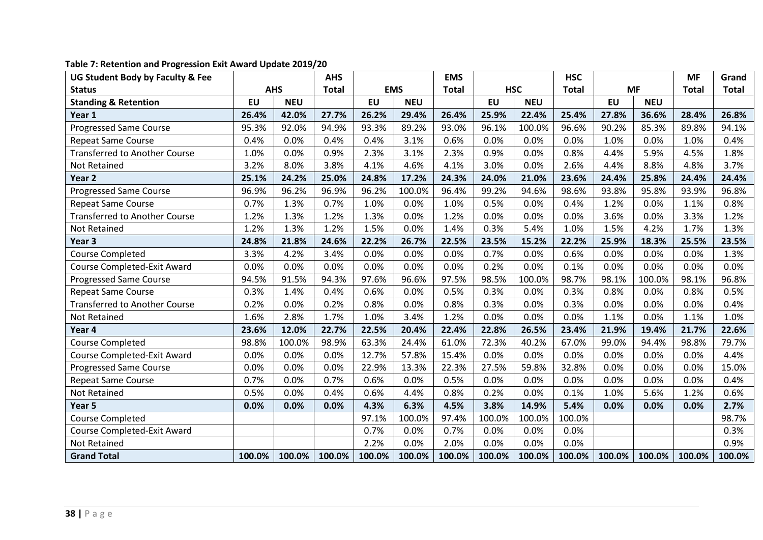| UG Student Body by Faculty & Fee     |           |            | <b>AHS</b>   |        |            | <b>EMS</b>   |           |            | <b>HSC</b>   |           |            | <b>MF</b>    | Grand  |
|--------------------------------------|-----------|------------|--------------|--------|------------|--------------|-----------|------------|--------------|-----------|------------|--------------|--------|
| <b>Status</b>                        |           | <b>AHS</b> | <b>Total</b> |        | <b>EMS</b> | <b>Total</b> |           | <b>HSC</b> | <b>Total</b> |           | <b>MF</b>  | <b>Total</b> | Total  |
| <b>Standing &amp; Retention</b>      | <b>EU</b> | <b>NEU</b> |              | EU     | <b>NEU</b> |              | <b>EU</b> | <b>NEU</b> |              | <b>EU</b> | <b>NEU</b> |              |        |
| Year 1                               | 26.4%     | 42.0%      | 27.7%        | 26.2%  | 29.4%      | 26.4%        | 25.9%     | 22.4%      | 25.4%        | 27.8%     | 36.6%      | 28.4%        | 26.8%  |
| <b>Progressed Same Course</b>        | 95.3%     | 92.0%      | 94.9%        | 93.3%  | 89.2%      | 93.0%        | 96.1%     | 100.0%     | 96.6%        | 90.2%     | 85.3%      | 89.8%        | 94.1%  |
| <b>Repeat Same Course</b>            | 0.4%      | 0.0%       | 0.4%         | 0.4%   | 3.1%       | 0.6%         | 0.0%      | 0.0%       | 0.0%         | 1.0%      | 0.0%       | 1.0%         | 0.4%   |
| <b>Transferred to Another Course</b> | 1.0%      | 0.0%       | 0.9%         | 2.3%   | 3.1%       | 2.3%         | 0.9%      | 0.0%       | 0.8%         | 4.4%      | 5.9%       | 4.5%         | 1.8%   |
| Not Retained                         | 3.2%      | 8.0%       | 3.8%         | 4.1%   | 4.6%       | 4.1%         | 3.0%      | 0.0%       | 2.6%         | 4.4%      | 8.8%       | 4.8%         | 3.7%   |
| Year <sub>2</sub>                    | 25.1%     | 24.2%      | 25.0%        | 24.8%  | 17.2%      | 24.3%        | 24.0%     | 21.0%      | 23.6%        | 24.4%     | 25.8%      | 24.4%        | 24.4%  |
| <b>Progressed Same Course</b>        | 96.9%     | 96.2%      | 96.9%        | 96.2%  | 100.0%     | 96.4%        | 99.2%     | 94.6%      | 98.6%        | 93.8%     | 95.8%      | 93.9%        | 96.8%  |
| <b>Repeat Same Course</b>            | 0.7%      | 1.3%       | 0.7%         | 1.0%   | 0.0%       | 1.0%         | 0.5%      | 0.0%       | 0.4%         | 1.2%      | 0.0%       | 1.1%         | 0.8%   |
| <b>Transferred to Another Course</b> | 1.2%      | 1.3%       | 1.2%         | 1.3%   | 0.0%       | 1.2%         | 0.0%      | 0.0%       | 0.0%         | 3.6%      | 0.0%       | 3.3%         | 1.2%   |
| Not Retained                         | 1.2%      | 1.3%       | 1.2%         | 1.5%   | 0.0%       | 1.4%         | 0.3%      | 5.4%       | 1.0%         | 1.5%      | 4.2%       | 1.7%         | 1.3%   |
| Year 3                               | 24.8%     | 21.8%      | 24.6%        | 22.2%  | 26.7%      | 22.5%        | 23.5%     | 15.2%      | 22.2%        | 25.9%     | 18.3%      | 25.5%        | 23.5%  |
| <b>Course Completed</b>              | 3.3%      | 4.2%       | 3.4%         | 0.0%   | 0.0%       | 0.0%         | 0.7%      | 0.0%       | 0.6%         | 0.0%      | 0.0%       | 0.0%         | 1.3%   |
| Course Completed-Exit Award          | 0.0%      | 0.0%       | 0.0%         | 0.0%   | 0.0%       | 0.0%         | 0.2%      | 0.0%       | 0.1%         | 0.0%      | 0.0%       | 0.0%         | 0.0%   |
| Progressed Same Course               | 94.5%     | 91.5%      | 94.3%        | 97.6%  | 96.6%      | 97.5%        | 98.5%     | 100.0%     | 98.7%        | 98.1%     | 100.0%     | 98.1%        | 96.8%  |
| <b>Repeat Same Course</b>            | 0.3%      | 1.4%       | 0.4%         | 0.6%   | 0.0%       | 0.5%         | 0.3%      | 0.0%       | 0.3%         | 0.8%      | 0.0%       | 0.8%         | 0.5%   |
| <b>Transferred to Another Course</b> | 0.2%      | 0.0%       | 0.2%         | 0.8%   | 0.0%       | 0.8%         | 0.3%      | 0.0%       | 0.3%         | 0.0%      | 0.0%       | 0.0%         | 0.4%   |
| <b>Not Retained</b>                  | 1.6%      | 2.8%       | 1.7%         | 1.0%   | 3.4%       | 1.2%         | 0.0%      | 0.0%       | 0.0%         | 1.1%      | 0.0%       | 1.1%         | 1.0%   |
| Year 4                               | 23.6%     | 12.0%      | 22.7%        | 22.5%  | 20.4%      | 22.4%        | 22.8%     | 26.5%      | 23.4%        | 21.9%     | 19.4%      | 21.7%        | 22.6%  |
| <b>Course Completed</b>              | 98.8%     | 100.0%     | 98.9%        | 63.3%  | 24.4%      | 61.0%        | 72.3%     | 40.2%      | 67.0%        | 99.0%     | 94.4%      | 98.8%        | 79.7%  |
| Course Completed-Exit Award          | 0.0%      | 0.0%       | 0.0%         | 12.7%  | 57.8%      | 15.4%        | 0.0%      | 0.0%       | 0.0%         | 0.0%      | 0.0%       | 0.0%         | 4.4%   |
| <b>Progressed Same Course</b>        | 0.0%      | 0.0%       | 0.0%         | 22.9%  | 13.3%      | 22.3%        | 27.5%     | 59.8%      | 32.8%        | 0.0%      | 0.0%       | 0.0%         | 15.0%  |
| <b>Repeat Same Course</b>            | 0.7%      | 0.0%       | 0.7%         | 0.6%   | 0.0%       | 0.5%         | 0.0%      | 0.0%       | 0.0%         | 0.0%      | 0.0%       | 0.0%         | 0.4%   |
| Not Retained                         | 0.5%      | 0.0%       | 0.4%         | 0.6%   | 4.4%       | 0.8%         | 0.2%      | 0.0%       | 0.1%         | 1.0%      | 5.6%       | 1.2%         | 0.6%   |
| Year 5                               | 0.0%      | 0.0%       | 0.0%         | 4.3%   | 6.3%       | 4.5%         | 3.8%      | 14.9%      | 5.4%         | 0.0%      | 0.0%       | 0.0%         | 2.7%   |
| <b>Course Completed</b>              |           |            |              | 97.1%  | 100.0%     | 97.4%        | 100.0%    | 100.0%     | 100.0%       |           |            |              | 98.7%  |
| Course Completed-Exit Award          |           |            |              | 0.7%   | 0.0%       | 0.7%         | 0.0%      | 0.0%       | 0.0%         |           |            |              | 0.3%   |
| Not Retained                         |           |            |              | 2.2%   | 0.0%       | 2.0%         | 0.0%      | 0.0%       | 0.0%         |           |            |              | 0.9%   |
| <b>Grand Total</b>                   | 100.0%    | 100.0%     | 100.0%       | 100.0% | 100.0%     | 100.0%       | 100.0%    | 100.0%     | 100.0%       | 100.0%    | 100.0%     | 100.0%       | 100.0% |

#### **Table 7: Retention and Progression Exit Award Update 2019/20**